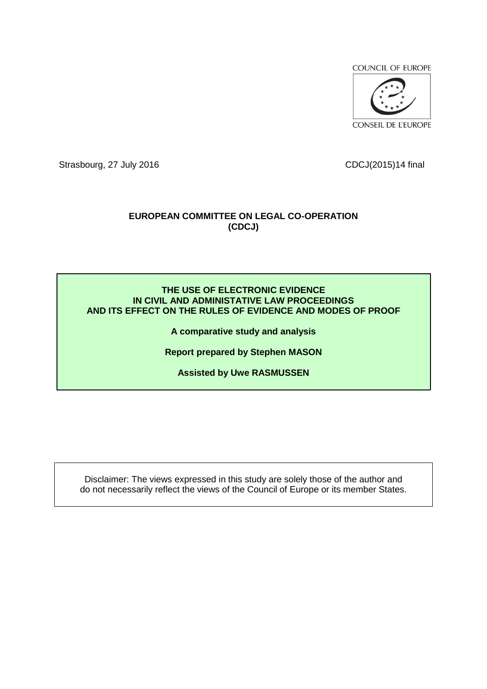**COUNCIL OF EUROPE** 



Strasbourg, 27 July 2016 CDCJ(2015)14 final

## **EUROPEAN COMMITTEE ON LEGAL CO-OPERATION (CDCJ)**

### **THE USE OF ELECTRONIC EVIDENCE IN CIVIL AND ADMINISTATIVE LAW PROCEEDINGS AND ITS EFFECT ON THE RULES OF EVIDENCE AND MODES OF PROOF**

**A comparative study and analysis**

**Report prepared by Stephen MASON**

**Assisted by Uwe RASMUSSEN**

Disclaimer: The views expressed in this study are solely those of the author and do not necessarily reflect the views of the Council of Europe or its member States.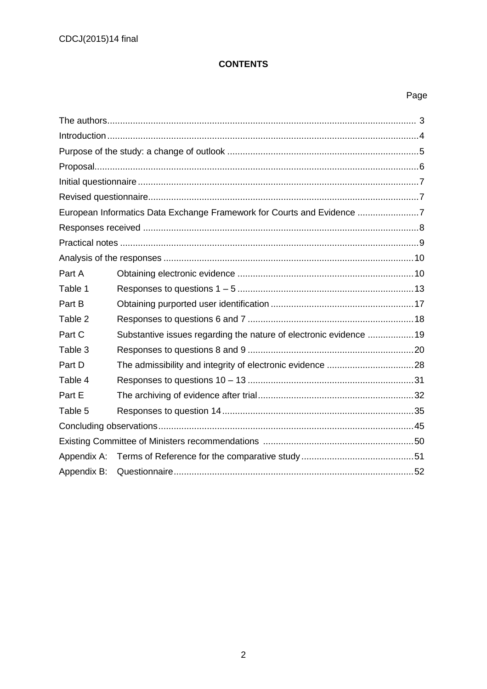## **CONTENTS**

## Page

|             | European Informatics Data Exchange Framework for Courts and Evidence 7 |  |
|-------------|------------------------------------------------------------------------|--|
|             |                                                                        |  |
|             |                                                                        |  |
|             |                                                                        |  |
| Part A      |                                                                        |  |
| Table 1     |                                                                        |  |
| Part B      |                                                                        |  |
| Table 2     |                                                                        |  |
| Part C      | Substantive issues regarding the nature of electronic evidence 19      |  |
| Table 3     |                                                                        |  |
| Part D      |                                                                        |  |
| Table 4     |                                                                        |  |
| Part E      |                                                                        |  |
| Table 5     |                                                                        |  |
|             |                                                                        |  |
|             |                                                                        |  |
|             |                                                                        |  |
| Appendix B: |                                                                        |  |
|             |                                                                        |  |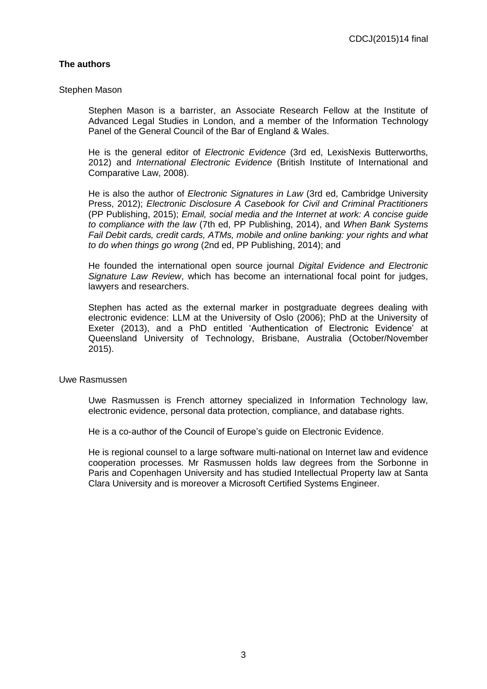### **The authors**

#### Stephen Mason

Stephen Mason is a barrister, an Associate Research Fellow at the Institute of Advanced Legal Studies in London, and a member of the Information Technology Panel of the General Council of the Bar of England & Wales.

He is the general editor of *Electronic Evidence* (3rd ed, LexisNexis Butterworths, 2012) and *International Electronic Evidence* (British Institute of International and Comparative Law, 2008).

He is also the author of *Electronic Signatures in Law* (3rd ed, Cambridge University Press, 2012); *Electronic Disclosure A Casebook for Civil and Criminal Practitioners* (PP Publishing, 2015); *Email, social media and the Internet at work: A concise guide to compliance with the law* (7th ed, PP Publishing, 2014), and *When Bank Systems Fail Debit cards, credit cards, ATMs, mobile and online banking: your rights and what to do when things go wrong* (2nd ed, PP Publishing, 2014); and

He founded the international open source journal *Digital Evidence and Electronic Signature Law Review*, which has become an international focal point for judges, lawyers and researchers.

Stephen has acted as the external marker in postgraduate degrees dealing with electronic evidence: LLM at the University of Oslo (2006); PhD at the University of Exeter (2013), and a PhD entitled 'Authentication of Electronic Evidence' at Queensland University of Technology, Brisbane, Australia (October/November 2015).

#### Uwe Rasmussen

Uwe Rasmussen is French attorney specialized in Information Technology law, electronic evidence, personal data protection, compliance, and database rights.

He is a co-author of the Council of Europe's guide on Electronic Evidence.

He is regional counsel to a large software multi-national on Internet law and evidence cooperation processes. Mr Rasmussen holds law degrees from the Sorbonne in Paris and Copenhagen University and has studied Intellectual Property law at Santa Clara University and is moreover a Microsoft Certified Systems Engineer.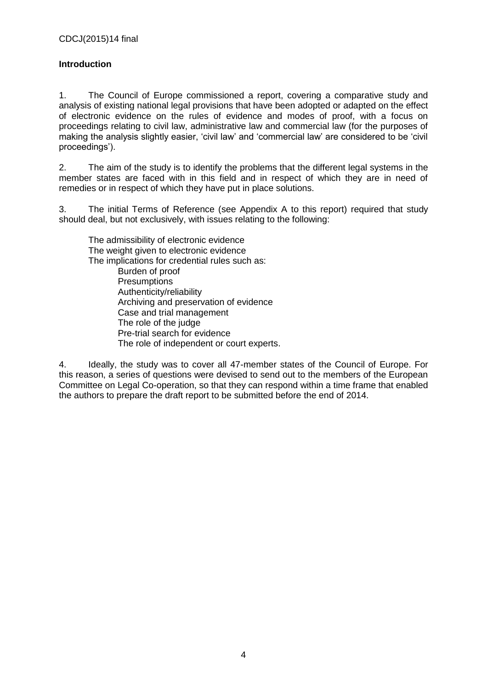## **Introduction**

1. The Council of Europe commissioned a report, covering a comparative study and analysis of existing national legal provisions that have been adopted or adapted on the effect of electronic evidence on the rules of evidence and modes of proof, with a focus on proceedings relating to civil law, administrative law and commercial law (for the purposes of making the analysis slightly easier, 'civil law' and 'commercial law' are considered to be 'civil proceedings').

2. The aim of the study is to identify the problems that the different legal systems in the member states are faced with in this field and in respect of which they are in need of remedies or in respect of which they have put in place solutions.

3. The initial Terms of Reference (see Appendix A to this report) required that study should deal, but not exclusively, with issues relating to the following:

The admissibility of electronic evidence The weight given to electronic evidence The implications for credential rules such as: Burden of proof **Presumptions** Authenticity/reliability Archiving and preservation of evidence Case and trial management The role of the judge Pre-trial search for evidence

The role of independent or court experts.

4. Ideally, the study was to cover all 47-member states of the Council of Europe. For this reason, a series of questions were devised to send out to the members of the European Committee on Legal Co-operation, so that they can respond within a time frame that enabled the authors to prepare the draft report to be submitted before the end of 2014.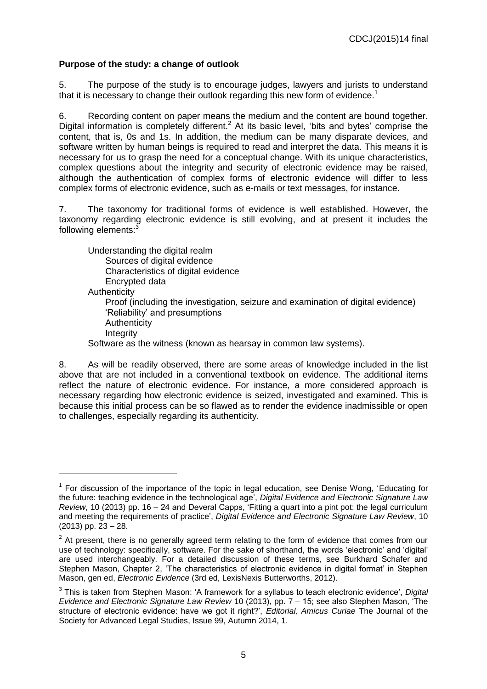## **Purpose of the study: a change of outlook**

 $\overline{a}$ 

5. The purpose of the study is to encourage judges, lawyers and jurists to understand that it is necessary to change their outlook regarding this new form of evidence.<sup>1</sup>

6. Recording content on paper means the medium and the content are bound together. Digital information is completely different.<sup>2</sup> At its basic level, 'bits and bytes' comprise the content, that is, 0s and 1s. In addition, the medium can be many disparate devices, and software written by human beings is required to read and interpret the data. This means it is necessary for us to grasp the need for a conceptual change. With its unique characteristics, complex questions about the integrity and security of electronic evidence may be raised, although the authentication of complex forms of electronic evidence will differ to less complex forms of electronic evidence, such as e-mails or text messages, for instance.

7. The taxonomy for traditional forms of evidence is well established. However, the taxonomy regarding electronic evidence is still evolving, and at present it includes the following elements:<sup>3</sup>

Understanding the digital realm Sources of digital evidence Characteristics of digital evidence Encrypted data **Authenticity** Proof (including the investigation, seizure and examination of digital evidence) 'Reliability' and presumptions **Authenticity Integrity** Software as the witness (known as hearsay in common law systems).

8. As will be readily observed, there are some areas of knowledge included in the list above that are not included in a conventional textbook on evidence. The additional items reflect the nature of electronic evidence. For instance, a more considered approach is necessary regarding how electronic evidence is seized, investigated and examined. This is because this initial process can be so flawed as to render the evidence inadmissible or open to challenges, especially regarding its authenticity.

<sup>&</sup>lt;sup>1</sup> For discussion of the importance of the topic in legal education, see Denise Wong, 'Educating for the future: teaching evidence in the technological age', *Digital Evidence and Electronic Signature Law Review*, 10 (2013) pp. 16 – 24 and Deveral Capps, 'Fitting a quart into a pint pot: the legal curriculum and meeting the requirements of practice', *Digital Evidence and Electronic Signature Law Review*, 10 (2013) pp. 23 – 28.

 $2$  At present, there is no generally agreed term relating to the form of evidence that comes from our use of technology: specifically, software. For the sake of shorthand, the words 'electronic' and 'digital' are used interchangeably. For a detailed discussion of these terms, see Burkhard Schafer and Stephen Mason, Chapter 2, 'The characteristics of electronic evidence in digital format' in Stephen Mason, gen ed, *Electronic Evidence* (3rd ed, LexisNexis Butterworths, 2012).

<sup>3</sup> This is taken from Stephen Mason: 'A framework for a syllabus to teach electronic evidence', *Digital Evidence and Electronic Signature Law Review* 10 (2013), pp. 7 – 15; see also Stephen Mason, 'The structure of electronic evidence: have we got it right?', *Editorial, Amicus Curiae* The Journal of the Society for Advanced Legal Studies, Issue 99, Autumn 2014, 1.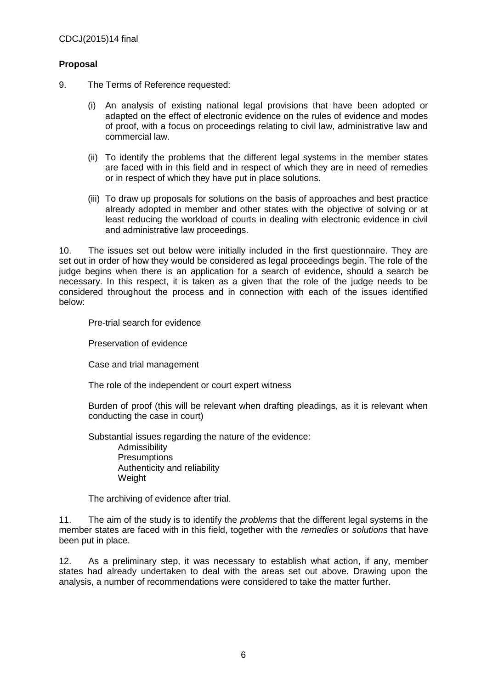## **Proposal**

- 9. The Terms of Reference requested:
	- (i) An analysis of existing national legal provisions that have been adopted or adapted on the effect of electronic evidence on the rules of evidence and modes of proof, with a focus on proceedings relating to civil law, administrative law and commercial law.
	- (ii) To identify the problems that the different legal systems in the member states are faced with in this field and in respect of which they are in need of remedies or in respect of which they have put in place solutions.
	- (iii) To draw up proposals for solutions on the basis of approaches and best practice already adopted in member and other states with the objective of solving or at least reducing the workload of courts in dealing with electronic evidence in civil and administrative law proceedings.

10. The issues set out below were initially included in the first questionnaire. They are set out in order of how they would be considered as legal proceedings begin. The role of the judge begins when there is an application for a search of evidence, should a search be necessary. In this respect, it is taken as a given that the role of the judge needs to be considered throughout the process and in connection with each of the issues identified below:

Pre-trial search for evidence

Preservation of evidence

Case and trial management

The role of the independent or court expert witness

Burden of proof (this will be relevant when drafting pleadings, as it is relevant when conducting the case in court)

Substantial issues regarding the nature of the evidence:

Admissibility **Presumptions** Authenticity and reliability Weight

The archiving of evidence after trial.

11. The aim of the study is to identify the *problems* that the different legal systems in the member states are faced with in this field, together with the *remedies* or *solutions* that have been put in place.

12. As a preliminary step, it was necessary to establish what action, if any, member states had already undertaken to deal with the areas set out above. Drawing upon the analysis, a number of recommendations were considered to take the matter further.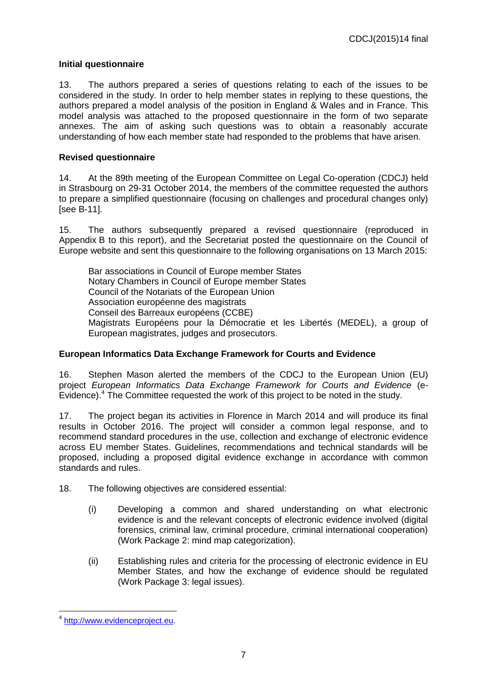## **Initial questionnaire**

13. The authors prepared a series of questions relating to each of the issues to be considered in the study. In order to help member states in replying to these questions, the authors prepared a model analysis of the position in England & Wales and in France. This model analysis was attached to the proposed questionnaire in the form of two separate annexes. The aim of asking such questions was to obtain a reasonably accurate understanding of how each member state had responded to the problems that have arisen.

## **Revised questionnaire**

14. At the 89th meeting of the European Committee on Legal Co-operation (CDCJ) held in Strasbourg on 29-31 October 2014, the members of the committee requested the authors to prepare a simplified questionnaire (focusing on challenges and procedural changes only) [see B-11].

15. The authors subsequently prepared a revised questionnaire (reproduced in Appendix B to this report), and the Secretariat posted the questionnaire on the Council of Europe website and sent this questionnaire to the following organisations on 13 March 2015:

Bar associations in Council of Europe member States Notary Chambers in Council of Europe member States Council of the Notariats of the European Union Association européenne des magistrats Conseil des Barreaux européens (CCBE) Magistrats Européens pour la Démocratie et les Libertés (MEDEL), a group of European magistrates, judges and prosecutors.

### **European Informatics Data Exchange Framework for Courts and Evidence**

16. Stephen Mason alerted the members of the CDCJ to the European Union (EU) project *European Informatics Data Exchange Framework for Courts and Evidence* (e-Evidence).<sup>4</sup> The Committee requested the work of this project to be noted in the study.

17. The project began its activities in Florence in March 2014 and will produce its final results in October 2016. The project will consider a common legal response, and to recommend standard procedures in the use, collection and exchange of electronic evidence across EU member States. Guidelines, recommendations and technical standards will be proposed, including a proposed digital evidence exchange in accordance with common standards and rules.

- 18. The following objectives are considered essential:
	- (i) Developing a common and shared understanding on what electronic evidence is and the relevant concepts of electronic evidence involved (digital forensics, criminal law, criminal procedure, criminal international cooperation) (Work Package 2: mind map categorization).
	- (ii) Establishing rules and criteria for the processing of electronic evidence in EU Member States, and how the exchange of evidence should be regulated (Work Package 3: legal issues).

<sup>&</sup>lt;sup>4</sup> [http://www.evidenceproject.eu.](http://www.evidenceproject.eu/)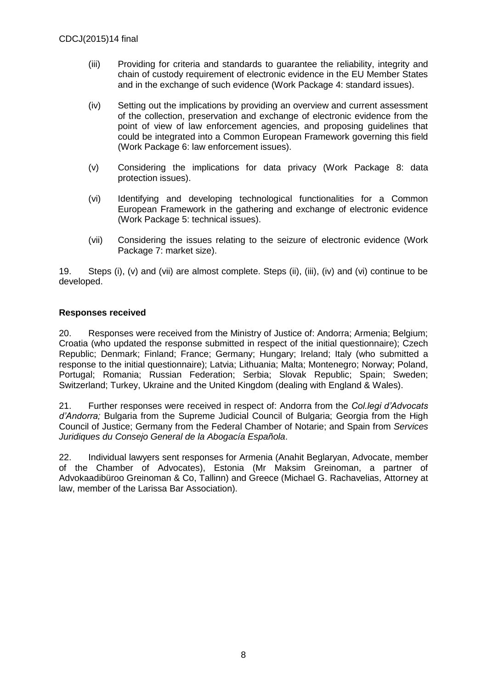- (iii) Providing for criteria and standards to guarantee the reliability, integrity and chain of custody requirement of electronic evidence in the EU Member States and in the exchange of such evidence (Work Package 4: standard issues).
- (iv) Setting out the implications by providing an overview and current assessment of the collection, preservation and exchange of electronic evidence from the point of view of law enforcement agencies, and proposing guidelines that could be integrated into a Common European Framework governing this field (Work Package 6: law enforcement issues).
- (v) Considering the implications for data privacy (Work Package 8: data protection issues).
- (vi) Identifying and developing technological functionalities for a Common European Framework in the gathering and exchange of electronic evidence (Work Package 5: technical issues).
- (vii) Considering the issues relating to the seizure of electronic evidence (Work Package 7: market size).

19. Steps (i), (v) and (vii) are almost complete. Steps (ii), (iii), (iv) and (vi) continue to be developed.

### **Responses received**

20. Responses were received from the Ministry of Justice of: Andorra; Armenia; Belgium; Croatia (who updated the response submitted in respect of the initial questionnaire); Czech Republic; Denmark; Finland; France; Germany; Hungary; Ireland; Italy (who submitted a response to the initial questionnaire); Latvia; Lithuania; Malta; Montenegro; Norway; Poland, Portugal; Romania; Russian Federation; Serbia; Slovak Republic; Spain; Sweden; Switzerland; Turkey, Ukraine and the United Kingdom (dealing with England & Wales).

21. Further responses were received in respect of: Andorra from the *Col.legi d'Advocats d'Andorra;* Bulgaria from the Supreme Judicial Council of Bulgaria; Georgia from the High Council of Justice; Germany from the Federal Chamber of Notarie; and Spain from *Services Juridiques du Consejo General de la Abogacía Española*.

22. Individual lawyers sent responses for Armenia (Anahit Beglaryan, Advocate, member of the Chamber of Advocates), Estonia (Mr Maksim Greinoman, a partner of Advokaadibüroo Greinoman & Co, Tallinn) and Greece (Michael G. Rachavelias, Attorney at law, member of the Larissa Bar Association).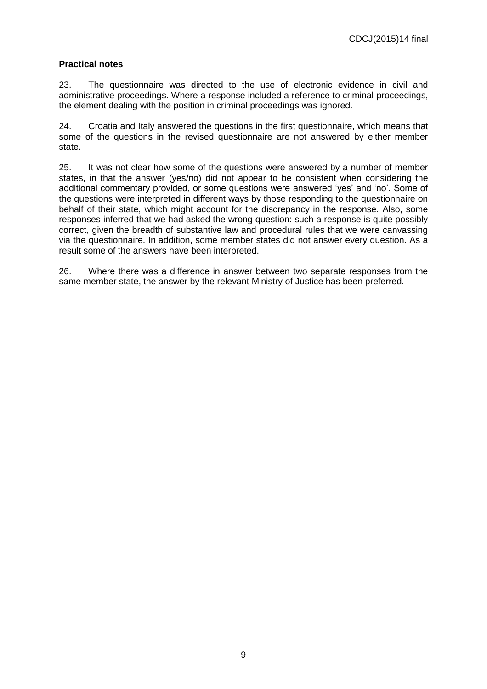## **Practical notes**

23. The questionnaire was directed to the use of electronic evidence in civil and administrative proceedings. Where a response included a reference to criminal proceedings, the element dealing with the position in criminal proceedings was ignored.

24. Croatia and Italy answered the questions in the first questionnaire, which means that some of the questions in the revised questionnaire are not answered by either member state.

25. It was not clear how some of the questions were answered by a number of member states, in that the answer (yes/no) did not appear to be consistent when considering the additional commentary provided, or some questions were answered 'yes' and 'no'. Some of the questions were interpreted in different ways by those responding to the questionnaire on behalf of their state, which might account for the discrepancy in the response. Also, some responses inferred that we had asked the wrong question: such a response is quite possibly correct, given the breadth of substantive law and procedural rules that we were canvassing via the questionnaire. In addition, some member states did not answer every question. As a result some of the answers have been interpreted.

26. Where there was a difference in answer between two separate responses from the same member state, the answer by the relevant Ministry of Justice has been preferred.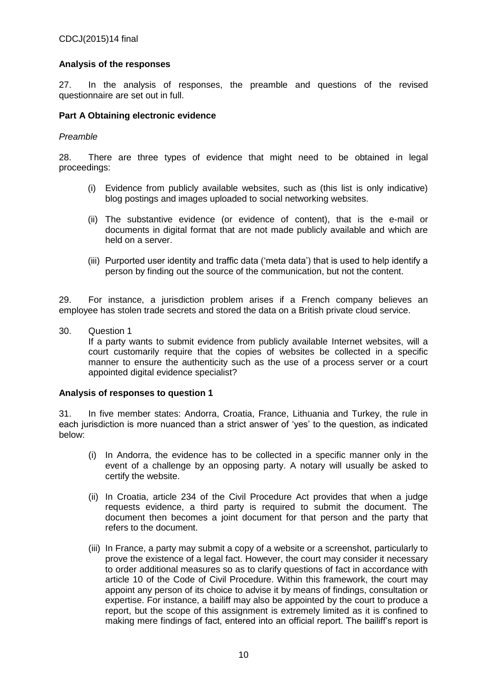### **Analysis of the responses**

27. In the analysis of responses, the preamble and questions of the revised questionnaire are set out in full.

### **Part A Obtaining electronic evidence**

#### *Preamble*

28. There are three types of evidence that might need to be obtained in legal proceedings:

- (i) Evidence from publicly available websites, such as (this list is only indicative) blog postings and images uploaded to social networking websites.
- (ii) The substantive evidence (or evidence of content), that is the e-mail or documents in digital format that are not made publicly available and which are held on a server.
- (iii) Purported user identity and traffic data ('meta data') that is used to help identify a person by finding out the source of the communication, but not the content.

29. For instance, a jurisdiction problem arises if a French company believes an employee has stolen trade secrets and stored the data on a British private cloud service.

30. Question 1 If a party wants to submit evidence from publicly available Internet websites, will a court customarily require that the copies of websites be collected in a specific manner to ensure the authenticity such as the use of a process server or a court appointed digital evidence specialist?

#### **Analysis of responses to question 1**

31. In five member states: Andorra, Croatia, France, Lithuania and Turkey, the rule in each jurisdiction is more nuanced than a strict answer of 'yes' to the question, as indicated below:

- (i) In Andorra, the evidence has to be collected in a specific manner only in the event of a challenge by an opposing party. A notary will usually be asked to certify the website.
- (ii) In Croatia, article 234 of the Civil Procedure Act provides that when a judge requests evidence, a third party is required to submit the document. The document then becomes a joint document for that person and the party that refers to the document.
- (iii) In France, a party may submit a copy of a website or a screenshot, particularly to prove the existence of a legal fact. However, the court may consider it necessary to order additional measures so as to clarify questions of fact in accordance with article 10 of the Code of Civil Procedure. Within this framework, the court may appoint any person of its choice to advise it by means of findings, consultation or expertise. For instance, a bailiff may also be appointed by the court to produce a report, but the scope of this assignment is extremely limited as it is confined to making mere findings of fact, entered into an official report. The bailiff's report is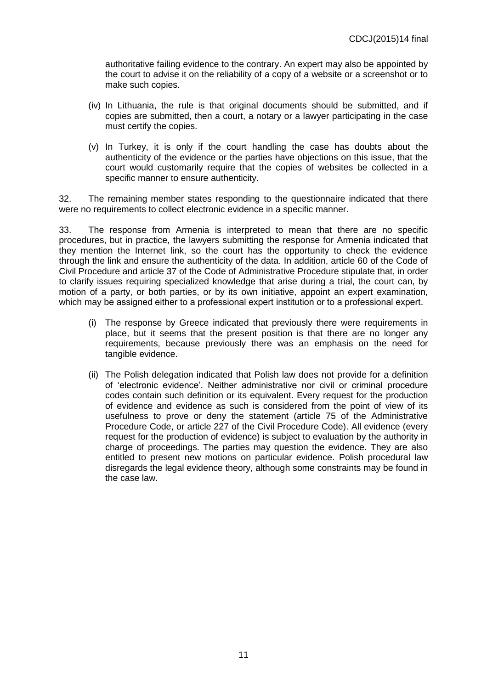authoritative failing evidence to the contrary. An expert may also be appointed by the court to advise it on the reliability of a copy of a website or a screenshot or to make such copies.

- (iv) In Lithuania, the rule is that original documents should be submitted, and if copies are submitted, then a court, a notary or a lawyer participating in the case must certify the copies.
- (v) In Turkey, it is only if the court handling the case has doubts about the authenticity of the evidence or the parties have objections on this issue, that the court would customarily require that the copies of websites be collected in a specific manner to ensure authenticity.

32. The remaining member states responding to the questionnaire indicated that there were no requirements to collect electronic evidence in a specific manner.

33. The response from Armenia is interpreted to mean that there are no specific procedures, but in practice, the lawyers submitting the response for Armenia indicated that they mention the Internet link, so the court has the opportunity to check the evidence through the link and ensure the authenticity of the data. In addition, article 60 of the Code of Civil Procedure and article 37 of the Code of Administrative Procedure stipulate that, in order to clarify issues requiring specialized knowledge that arise during a trial, the court can, by motion of a party, or both parties, or by its own initiative, appoint an expert examination, which may be assigned either to a professional expert institution or to a professional expert.

- (i) The response by Greece indicated that previously there were requirements in place, but it seems that the present position is that there are no longer any requirements, because previously there was an emphasis on the need for tangible evidence.
- (ii) The Polish delegation indicated that Polish law does not provide for a definition of 'electronic evidence'. Neither administrative nor civil or criminal procedure codes contain such definition or its equivalent. Every request for the production of evidence and evidence as such is considered from the point of view of its usefulness to prove or deny the statement (article 75 of the Administrative Procedure Code, or article 227 of the Civil Procedure Code). All evidence (every request for the production of evidence) is subject to evaluation by the authority in charge of proceedings. The parties may question the evidence. They are also entitled to present new motions on particular evidence. Polish procedural law disregards the legal evidence theory, although some constraints may be found in the case law.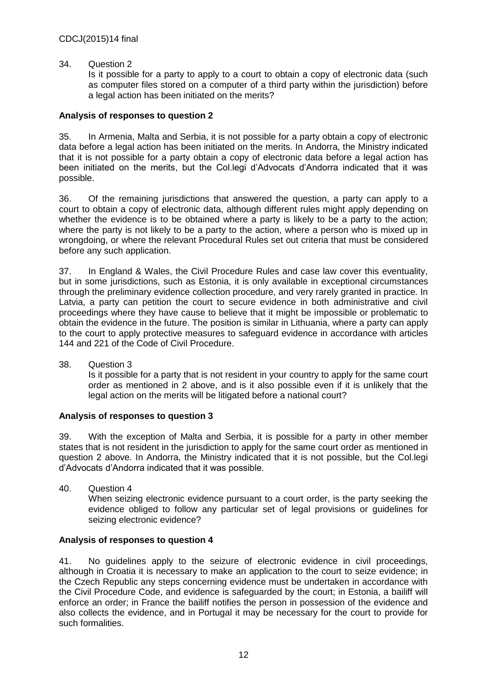#### 34. Question 2

Is it possible for a party to apply to a court to obtain a copy of electronic data (such as computer files stored on a computer of a third party within the jurisdiction) before a legal action has been initiated on the merits?

#### **Analysis of responses to question 2**

35. In Armenia, Malta and Serbia, it is not possible for a party obtain a copy of electronic data before a legal action has been initiated on the merits. In Andorra, the Ministry indicated that it is not possible for a party obtain a copy of electronic data before a legal action has been initiated on the merits, but the Col.legi d'Advocats d'Andorra indicated that it was possible.

36. Of the remaining jurisdictions that answered the question, a party can apply to a court to obtain a copy of electronic data, although different rules might apply depending on whether the evidence is to be obtained where a party is likely to be a party to the action; where the party is not likely to be a party to the action, where a person who is mixed up in wrongdoing, or where the relevant Procedural Rules set out criteria that must be considered before any such application.

37. In England & Wales, the Civil Procedure Rules and case law cover this eventuality, but in some jurisdictions, such as Estonia, it is only available in exceptional circumstances through the preliminary evidence collection procedure, and very rarely granted in practice. In Latvia, a party can petition the court to secure evidence in both administrative and civil proceedings where they have cause to believe that it might be impossible or problematic to obtain the evidence in the future. The position is similar in Lithuania, where a party can apply to the court to apply protective measures to safeguard evidence in accordance with articles 144 and 221 of the Code of Civil Procedure.

38. Question 3

Is it possible for a party that is not resident in your country to apply for the same court order as mentioned in 2 above, and is it also possible even if it is unlikely that the legal action on the merits will be litigated before a national court?

### **Analysis of responses to question 3**

39. With the exception of Malta and Serbia, it is possible for a party in other member states that is not resident in the jurisdiction to apply for the same court order as mentioned in question 2 above. In Andorra, the Ministry indicated that it is not possible, but the Col.legi d'Advocats d'Andorra indicated that it was possible.

40. Question 4 When seizing electronic evidence pursuant to a court order, is the party seeking the evidence obliged to follow any particular set of legal provisions or guidelines for seizing electronic evidence?

### **Analysis of responses to question 4**

41. No guidelines apply to the seizure of electronic evidence in civil proceedings, although in Croatia it is necessary to make an application to the court to seize evidence; in the Czech Republic any steps concerning evidence must be undertaken in accordance with the Civil Procedure Code, and evidence is safeguarded by the court; in Estonia, a bailiff will enforce an order; in France the bailiff notifies the person in possession of the evidence and also collects the evidence, and in Portugal it may be necessary for the court to provide for such formalities.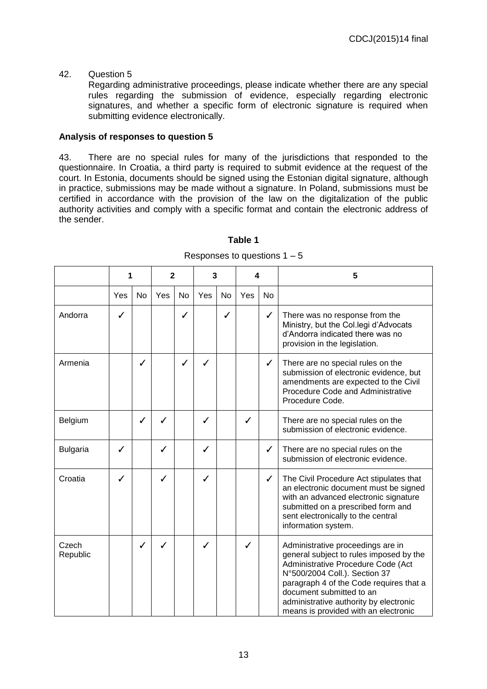### 42. Question 5

Regarding administrative proceedings, please indicate whether there are any special rules regarding the submission of evidence, especially regarding electronic signatures, and whether a specific form of electronic signature is required when submitting evidence electronically.

#### **Analysis of responses to question 5**

43. There are no special rules for many of the jurisdictions that responded to the questionnaire. In Croatia, a third party is required to submit evidence at the request of the court. In Estonia, documents should be signed using the Estonian digital signature, although in practice, submissions may be made without a signature. In Poland, submissions must be certified in accordance with the provision of the law on the digitalization of the public authority activities and comply with a specific format and contain the electronic address of the sender.

|                   |     |    | $\mathbf{2}$ |              |     | 3  |     | 4            | 5                                                                                                                                                                                                                                                                                                            |
|-------------------|-----|----|--------------|--------------|-----|----|-----|--------------|--------------------------------------------------------------------------------------------------------------------------------------------------------------------------------------------------------------------------------------------------------------------------------------------------------------|
|                   | Yes | No | Yes          | <b>No</b>    | Yes | No | Yes | No           |                                                                                                                                                                                                                                                                                                              |
| Andorra           | ✓   |    |              | ✓            |     | ✓  |     | $\checkmark$ | There was no response from the<br>Ministry, but the Col.legi d'Advocats<br>d'Andorra indicated there was no<br>provision in the legislation.                                                                                                                                                                 |
| Armenia           |     | ✓  |              | $\checkmark$ | ✓   |    |     | ✓            | There are no special rules on the<br>submission of electronic evidence, but<br>amendments are expected to the Civil<br>Procedure Code and Administrative<br>Procedure Code.                                                                                                                                  |
| Belgium           |     | ✓  | ✓            |              | ✓   |    | ✓   |              | There are no special rules on the<br>submission of electronic evidence.                                                                                                                                                                                                                                      |
| <b>Bulgaria</b>   | ✓   |    | ✓            |              | ✓   |    |     | ✓            | There are no special rules on the<br>submission of electronic evidence.                                                                                                                                                                                                                                      |
| Croatia           | ✓   |    | ✓            |              | ✓   |    |     | ✓            | The Civil Procedure Act stipulates that<br>an electronic document must be signed<br>with an advanced electronic signature<br>submitted on a prescribed form and<br>sent electronically to the central<br>information system.                                                                                 |
| Czech<br>Republic |     | ✓  | ✓            |              | ✓   |    | ✓   |              | Administrative proceedings are in<br>general subject to rules imposed by the<br>Administrative Procedure Code (Act<br>N°500/2004 Coll.). Section 37<br>paragraph 4 of the Code requires that a<br>document submitted to an<br>administrative authority by electronic<br>means is provided with an electronic |

### **Table 1**

Responses to questions  $1 - 5$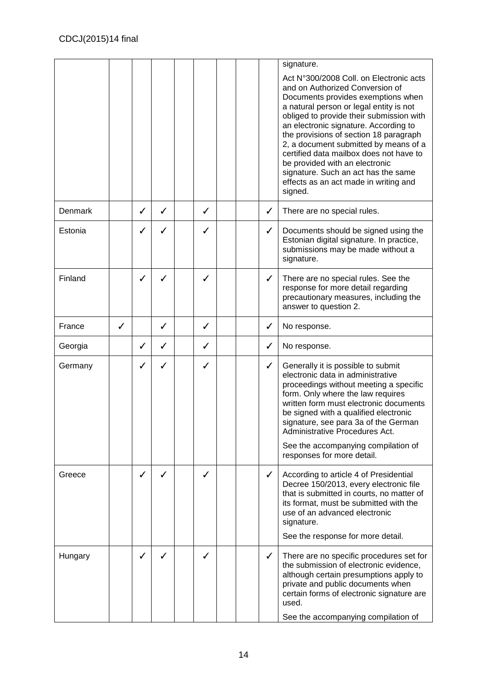|         |   |   |              |   |  |   | signature.                                                                                                                                                                                                                                                                                                                                                                                                                                                                                                  |
|---------|---|---|--------------|---|--|---|-------------------------------------------------------------------------------------------------------------------------------------------------------------------------------------------------------------------------------------------------------------------------------------------------------------------------------------------------------------------------------------------------------------------------------------------------------------------------------------------------------------|
|         |   |   |              |   |  |   | Act N°300/2008 Coll. on Electronic acts<br>and on Authorized Conversion of<br>Documents provides exemptions when<br>a natural person or legal entity is not<br>obliged to provide their submission with<br>an electronic signature. According to<br>the provisions of section 18 paragraph<br>2, a document submitted by means of a<br>certified data mailbox does not have to<br>be provided with an electronic<br>signature. Such an act has the same<br>effects as an act made in writing and<br>signed. |
| Denmark |   | ✓ | $\checkmark$ | ✓ |  | ✓ | There are no special rules.                                                                                                                                                                                                                                                                                                                                                                                                                                                                                 |
| Estonia |   | ✓ | ✓            | ✓ |  | ✓ | Documents should be signed using the<br>Estonian digital signature. In practice,<br>submissions may be made without a<br>signature.                                                                                                                                                                                                                                                                                                                                                                         |
| Finland |   | ✓ | ✓            | ✓ |  | ✓ | There are no special rules. See the<br>response for more detail regarding<br>precautionary measures, including the<br>answer to question 2.                                                                                                                                                                                                                                                                                                                                                                 |
| France  | ✓ |   | ✓            | ✓ |  | ✓ | No response.                                                                                                                                                                                                                                                                                                                                                                                                                                                                                                |
| Georgia |   | ✓ | ✓            | ✓ |  | ✓ | No response.                                                                                                                                                                                                                                                                                                                                                                                                                                                                                                |
| Germany |   | ✓ | ✓            | ✓ |  | ✓ | Generally it is possible to submit<br>electronic data in administrative<br>proceedings without meeting a specific<br>form. Only where the law requires<br>written form must electronic documents<br>be signed with a qualified electronic<br>signature, see para 3a of the German<br>Administrative Procedures Act.<br>See the accompanying compilation of<br>responses for more detail.                                                                                                                    |
| Greece  |   | ✓ | ✓            | ✓ |  | ✓ | According to article 4 of Presidential<br>Decree 150/2013, every electronic file<br>that is submitted in courts, no matter of<br>its format, must be submitted with the<br>use of an advanced electronic<br>signature.<br>See the response for more detail.                                                                                                                                                                                                                                                 |
| Hungary |   | ✓ | ℐ            |   |  | ✓ | There are no specific procedures set for<br>the submission of electronic evidence,<br>although certain presumptions apply to<br>private and public documents when<br>certain forms of electronic signature are<br>used.<br>See the accompanying compilation of                                                                                                                                                                                                                                              |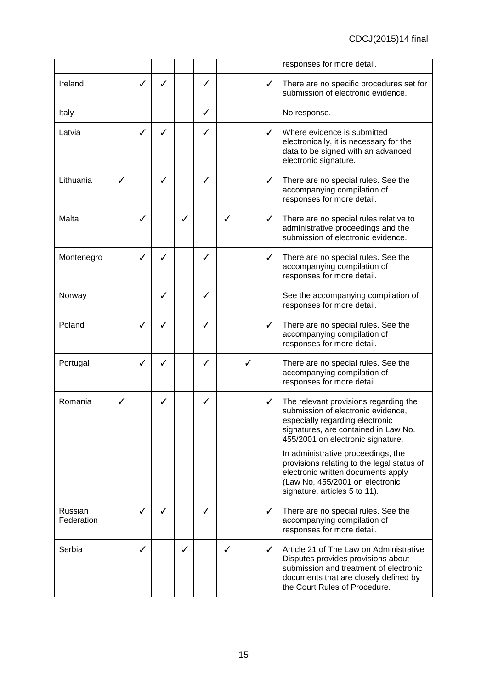|                       |   |              |   |   |   |   |   |              | responses for more detail.                                                                                                                                                                        |
|-----------------------|---|--------------|---|---|---|---|---|--------------|---------------------------------------------------------------------------------------------------------------------------------------------------------------------------------------------------|
| Ireland               |   | ✓            | ✓ |   | ✓ |   |   | $\checkmark$ | There are no specific procedures set for<br>submission of electronic evidence.                                                                                                                    |
| Italy                 |   |              |   |   | ✓ |   |   |              | No response.                                                                                                                                                                                      |
| Latvia                |   | ✓            | ✓ |   | ✓ |   |   | $\checkmark$ | Where evidence is submitted<br>electronically, it is necessary for the<br>data to be signed with an advanced<br>electronic signature.                                                             |
| Lithuania             | ✓ |              | ✓ |   | ✓ |   |   | $\checkmark$ | There are no special rules. See the<br>accompanying compilation of<br>responses for more detail.                                                                                                  |
| Malta                 |   | ✓            |   | ✓ |   | ✓ |   | $\checkmark$ | There are no special rules relative to<br>administrative proceedings and the<br>submission of electronic evidence.                                                                                |
| Montenegro            |   | ✓            | ✓ |   | ✓ |   |   | $\checkmark$ | There are no special rules. See the<br>accompanying compilation of<br>responses for more detail.                                                                                                  |
| Norway                |   |              | ✓ |   | ✓ |   |   |              | See the accompanying compilation of<br>responses for more detail.                                                                                                                                 |
| Poland                |   | ✓            | ✓ |   | ✓ |   |   | $\checkmark$ | There are no special rules. See the<br>accompanying compilation of<br>responses for more detail.                                                                                                  |
| Portugal              |   | $\checkmark$ | ✓ |   | ✓ |   | ✓ |              | There are no special rules. See the<br>accompanying compilation of<br>responses for more detail.                                                                                                  |
| Romania               | ✓ |              | ✓ |   | ✓ |   |   | $\checkmark$ | The relevant provisions regarding the<br>submission of electronic evidence,<br>especially regarding electronic<br>signatures, are contained in Law No.<br>455/2001 on electronic signature.       |
|                       |   |              |   |   |   |   |   |              | In administrative proceedings, the<br>provisions relating to the legal status of<br>electronic written documents apply<br>(Law No. 455/2001 on electronic<br>signature, articles 5 to 11).        |
| Russian<br>Federation |   | ✓            | ✓ |   | ✓ |   |   | ✓            | There are no special rules. See the<br>accompanying compilation of<br>responses for more detail.                                                                                                  |
| Serbia                |   | ✓            |   | ✓ |   | ✓ |   | $\checkmark$ | Article 21 of The Law on Administrative<br>Disputes provides provisions about<br>submission and treatment of electronic<br>documents that are closely defined by<br>the Court Rules of Procedure. |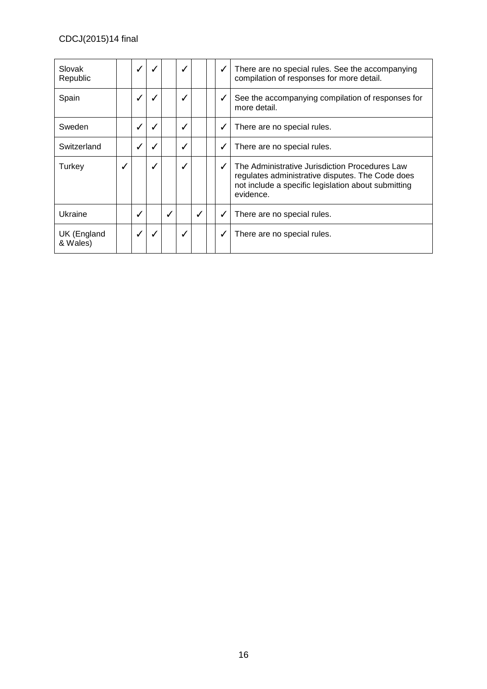| Slovak<br>Republic      |   | $\checkmark$ |   |   | ✓            |              | ✓ | There are no special rules. See the accompanying<br>compilation of responses for more detail.                                                                          |
|-------------------------|---|--------------|---|---|--------------|--------------|---|------------------------------------------------------------------------------------------------------------------------------------------------------------------------|
| Spain                   |   | ✓            |   |   |              |              | ✓ | See the accompanying compilation of responses for<br>more detail.                                                                                                      |
| Sweden                  |   | ℐ            | ✓ |   | ✓            |              | ✓ | There are no special rules.                                                                                                                                            |
| Switzerland             |   | ✓            | ✓ |   | ✓            |              | ✓ | There are no special rules.                                                                                                                                            |
| Turkey                  | √ |              | ✓ |   |              |              | ℐ | The Administrative Jurisdiction Procedures Law<br>regulates administrative disputes. The Code does<br>not include a specific legislation about submitting<br>evidence. |
| Ukraine                 |   | ✓            |   | ✓ |              | $\checkmark$ | ✓ | There are no special rules.                                                                                                                                            |
| UK (England<br>& Wales) |   | $\checkmark$ | √ |   | $\checkmark$ |              | ✔ | There are no special rules.                                                                                                                                            |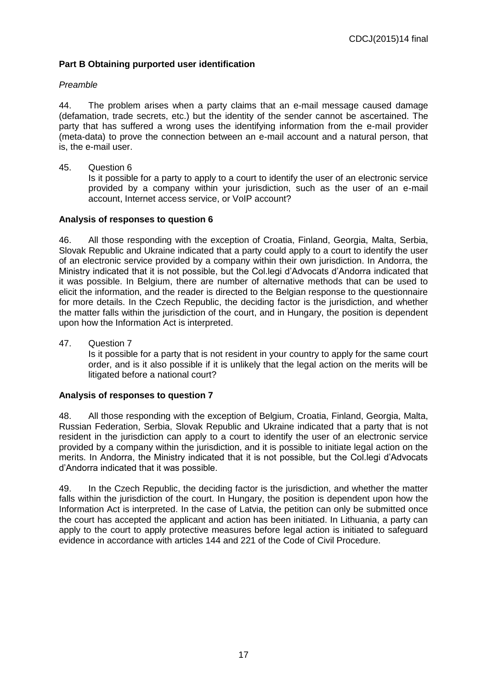## **Part B Obtaining purported user identification**

#### *Preamble*

44. The problem arises when a party claims that an e-mail message caused damage (defamation, trade secrets, etc.) but the identity of the sender cannot be ascertained. The party that has suffered a wrong uses the identifying information from the e-mail provider (meta-data) to prove the connection between an e-mail account and a natural person, that is, the e-mail user.

45. Question 6

Is it possible for a party to apply to a court to identify the user of an electronic service provided by a company within your jurisdiction, such as the user of an e-mail account, Internet access service, or VoIP account?

#### **Analysis of responses to question 6**

46. All those responding with the exception of Croatia, Finland, Georgia, Malta, Serbia, Slovak Republic and Ukraine indicated that a party could apply to a court to identify the user of an electronic service provided by a company within their own jurisdiction. In Andorra, the Ministry indicated that it is not possible, but the Col.legi d'Advocats d'Andorra indicated that it was possible. In Belgium, there are number of alternative methods that can be used to elicit the information, and the reader is directed to the Belgian response to the questionnaire for more details. In the Czech Republic, the deciding factor is the jurisdiction, and whether the matter falls within the jurisdiction of the court, and in Hungary, the position is dependent upon how the Information Act is interpreted.

47. Question 7

Is it possible for a party that is not resident in your country to apply for the same court order, and is it also possible if it is unlikely that the legal action on the merits will be litigated before a national court?

### **Analysis of responses to question 7**

48. All those responding with the exception of Belgium, Croatia, Finland, Georgia, Malta, Russian Federation, Serbia, Slovak Republic and Ukraine indicated that a party that is not resident in the jurisdiction can apply to a court to identify the user of an electronic service provided by a company within the jurisdiction, and it is possible to initiate legal action on the merits. In Andorra, the Ministry indicated that it is not possible, but the Col.legi d'Advocats d'Andorra indicated that it was possible.

49. In the Czech Republic, the deciding factor is the jurisdiction, and whether the matter falls within the jurisdiction of the court. In Hungary, the position is dependent upon how the Information Act is interpreted. In the case of Latvia, the petition can only be submitted once the court has accepted the applicant and action has been initiated. In Lithuania, a party can apply to the court to apply protective measures before legal action is initiated to safeguard evidence in accordance with articles 144 and 221 of the Code of Civil Procedure.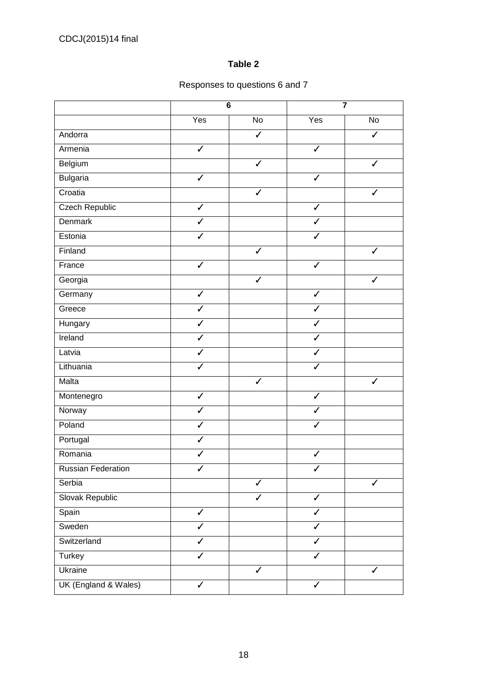## **Table 2**

## Responses to questions 6 and 7

|                           |                         | $\overline{\mathbf{6}}$ |                         | $\overline{\mathbf{7}}$ |
|---------------------------|-------------------------|-------------------------|-------------------------|-------------------------|
|                           | Yes                     | No                      | Yes                     | No                      |
| Andorra                   |                         | ✓                       |                         | ✓                       |
| Armenia                   | $\overline{\checkmark}$ |                         | $\overline{\checkmark}$ |                         |
| Belgium                   |                         | J                       |                         | J                       |
| <b>Bulgaria</b>           | $\checkmark$            |                         | $\checkmark$            |                         |
| Croatia                   |                         | ✓                       |                         | ✓                       |
| <b>Czech Republic</b>     | $\overline{\checkmark}$ |                         | $\overline{\checkmark}$ |                         |
| <b>Denmark</b>            | J                       |                         | J                       |                         |
| Estonia                   | $\checkmark$            |                         | $\checkmark$            |                         |
| Finland                   |                         | $\checkmark$            |                         | $\checkmark$            |
| France                    | $\overline{\checkmark}$ |                         | $\overline{\checkmark}$ |                         |
| Georgia                   |                         | $\checkmark$            |                         | ✓                       |
| Germany                   | $\checkmark$            |                         | $\checkmark$            |                         |
| Greece                    | $\overline{\checkmark}$ |                         | $\overline{\checkmark}$ |                         |
| Hungary                   | $\overline{\checkmark}$ |                         | $\overline{\checkmark}$ |                         |
| Ireland                   | $\overline{\checkmark}$ |                         | $\checkmark$            |                         |
| Latvia                    | $\checkmark$            |                         | $\checkmark$            |                         |
| Lithuania                 | $\overline{\checkmark}$ |                         | $\overline{\checkmark}$ |                         |
| Malta                     |                         | $\checkmark$            |                         | ✓                       |
| Montenegro                | $\checkmark$            |                         | $\checkmark$            |                         |
| Norway                    | $\checkmark$            |                         | ✓                       |                         |
| Poland                    | $\checkmark$            |                         | $\checkmark$            |                         |
| Portugal                  | $\checkmark$            |                         |                         |                         |
| Romania                   | $\checkmark$            |                         | $\checkmark$            |                         |
| <b>Russian Federation</b> | ✓                       |                         | ✓                       |                         |
| Serbia                    |                         | ✓                       |                         | ✓                       |
| Slovak Republic           |                         | ✓                       | $\overline{\checkmark}$ |                         |
| Spain                     | ✓                       |                         | ✓                       |                         |
| Sweden                    | ✓                       |                         | $\checkmark$            |                         |
| Switzerland               | ✓                       |                         | $\checkmark$            |                         |
| Turkey                    | $\overline{\checkmark}$ |                         | $\checkmark$            |                         |
| Ukraine                   |                         | $\overline{\checkmark}$ |                         | $\checkmark$            |
| UK (England & Wales)      | $\checkmark$            |                         | $\checkmark$            |                         |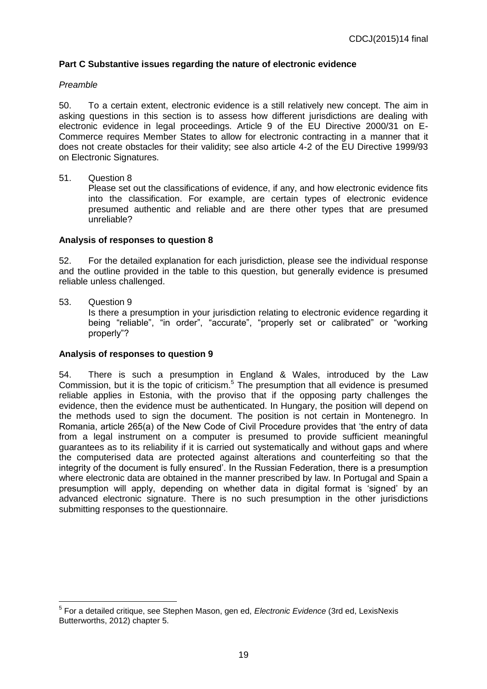## **Part C Substantive issues regarding the nature of electronic evidence**

#### *Preamble*

50. To a certain extent, electronic evidence is a still relatively new concept. The aim in asking questions in this section is to assess how different jurisdictions are dealing with electronic evidence in legal proceedings. Article 9 of the EU Directive 2000/31 on E-Commerce requires Member States to allow for electronic contracting in a manner that it does not create obstacles for their validity; see also article 4-2 of the EU Directive 1999/93 on Electronic Signatures.

#### 51. Question 8

Please set out the classifications of evidence, if any, and how electronic evidence fits into the classification. For example, are certain types of electronic evidence presumed authentic and reliable and are there other types that are presumed unreliable?

#### **Analysis of responses to question 8**

52. For the detailed explanation for each jurisdiction, please see the individual response and the outline provided in the table to this question, but generally evidence is presumed reliable unless challenged.

#### 53. Question 9

Is there a presumption in your jurisdiction relating to electronic evidence regarding it being "reliable", "in order", "accurate", "properly set or calibrated" or "working properly"?

#### **Analysis of responses to question 9**

54. There is such a presumption in England & Wales, introduced by the Law Commission, but it is the topic of criticism.<sup>5</sup> The presumption that all evidence is presumed reliable applies in Estonia, with the proviso that if the opposing party challenges the evidence, then the evidence must be authenticated. In Hungary, the position will depend on the methods used to sign the document. The position is not certain in Montenegro. In Romania, article 265(a) of the New Code of Civil Procedure provides that 'the entry of data from a legal instrument on a computer is presumed to provide sufficient meaningful guarantees as to its reliability if it is carried out systematically and without gaps and where the computerised data are protected against alterations and counterfeiting so that the integrity of the document is fully ensured'. In the Russian Federation, there is a presumption where electronic data are obtained in the manner prescribed by law. In Portugal and Spain a presumption will apply, depending on whether data in digital format is 'signed' by an advanced electronic signature. There is no such presumption in the other jurisdictions submitting responses to the questionnaire.

 5 For a detailed critique, see Stephen Mason, gen ed, *Electronic Evidence* (3rd ed, LexisNexis Butterworths, 2012) chapter 5.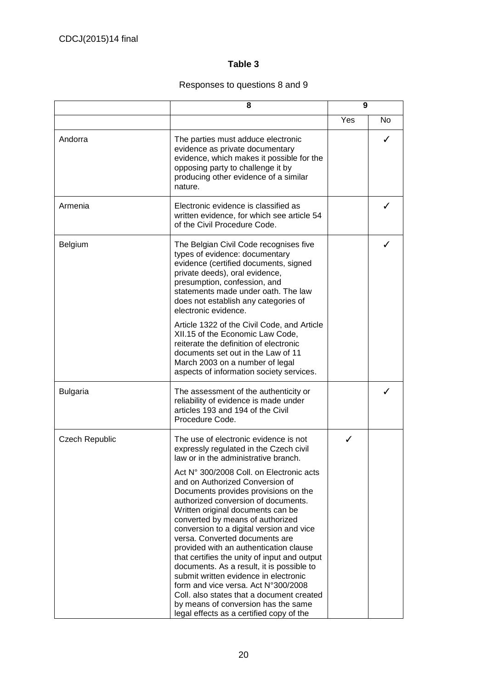## **Table 3**

## Responses to questions 8 and 9

|                       | 8                                                                                                                                                                                                                                                                                                                                                                                                                                                                                                                                                                                                                                                                        | 9   |                |
|-----------------------|--------------------------------------------------------------------------------------------------------------------------------------------------------------------------------------------------------------------------------------------------------------------------------------------------------------------------------------------------------------------------------------------------------------------------------------------------------------------------------------------------------------------------------------------------------------------------------------------------------------------------------------------------------------------------|-----|----------------|
|                       |                                                                                                                                                                                                                                                                                                                                                                                                                                                                                                                                                                                                                                                                          | Yes | N <sub>o</sub> |
| Andorra               | The parties must adduce electronic<br>evidence as private documentary<br>evidence, which makes it possible for the<br>opposing party to challenge it by<br>producing other evidence of a similar<br>nature.                                                                                                                                                                                                                                                                                                                                                                                                                                                              |     |                |
| Armenia               | Electronic evidence is classified as<br>written evidence, for which see article 54<br>of the Civil Procedure Code.                                                                                                                                                                                                                                                                                                                                                                                                                                                                                                                                                       |     |                |
| <b>Belgium</b>        | The Belgian Civil Code recognises five<br>types of evidence: documentary<br>evidence (certified documents, signed<br>private deeds), oral evidence,<br>presumption, confession, and<br>statements made under oath. The law<br>does not establish any categories of<br>electronic evidence.                                                                                                                                                                                                                                                                                                                                                                               |     |                |
|                       | Article 1322 of the Civil Code, and Article<br>XII.15 of the Economic Law Code,<br>reiterate the definition of electronic<br>documents set out in the Law of 11<br>March 2003 on a number of legal<br>aspects of information society services.                                                                                                                                                                                                                                                                                                                                                                                                                           |     |                |
| <b>Bulgaria</b>       | The assessment of the authenticity or<br>reliability of evidence is made under<br>articles 193 and 194 of the Civil<br>Procedure Code.                                                                                                                                                                                                                                                                                                                                                                                                                                                                                                                                   |     |                |
| <b>Czech Republic</b> | The use of electronic evidence is not<br>expressly regulated in the Czech civil<br>law or in the administrative branch.                                                                                                                                                                                                                                                                                                                                                                                                                                                                                                                                                  | ℐ   |                |
|                       | Act N° 300/2008 Coll. on Electronic acts<br>and on Authorized Conversion of<br>Documents provides provisions on the<br>authorized conversion of documents.<br>Written original documents can be<br>converted by means of authorized<br>conversion to a digital version and vice<br>versa. Converted documents are<br>provided with an authentication clause<br>that certifies the unity of input and output<br>documents. As a result, it is possible to<br>submit written evidence in electronic<br>form and vice versa. Act N°300/2008<br>Coll. also states that a document created<br>by means of conversion has the same<br>legal effects as a certified copy of the |     |                |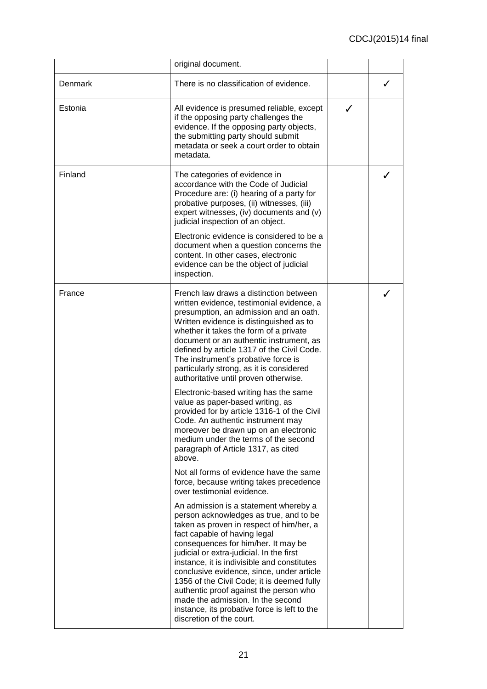|         | original document.                                                                                                                                                                                                                                                                                                                                                                                                                                                                                                                                  |   |   |
|---------|-----------------------------------------------------------------------------------------------------------------------------------------------------------------------------------------------------------------------------------------------------------------------------------------------------------------------------------------------------------------------------------------------------------------------------------------------------------------------------------------------------------------------------------------------------|---|---|
| Denmark | There is no classification of evidence.                                                                                                                                                                                                                                                                                                                                                                                                                                                                                                             |   | ✓ |
| Estonia | All evidence is presumed reliable, except<br>if the opposing party challenges the<br>evidence. If the opposing party objects,<br>the submitting party should submit<br>metadata or seek a court order to obtain<br>metadata.                                                                                                                                                                                                                                                                                                                        | ✓ |   |
| Finland | The categories of evidence in<br>accordance with the Code of Judicial<br>Procedure are: (i) hearing of a party for<br>probative purposes, (ii) witnesses, (iii)<br>expert witnesses, (iv) documents and (v)<br>judicial inspection of an object.<br>Electronic evidence is considered to be a<br>document when a question concerns the<br>content. In other cases, electronic<br>evidence can be the object of judicial<br>inspection.                                                                                                              |   |   |
| France  | French law draws a distinction between<br>written evidence, testimonial evidence, a<br>presumption, an admission and an oath.<br>Written evidence is distinguished as to<br>whether it takes the form of a private<br>document or an authentic instrument, as<br>defined by article 1317 of the Civil Code.<br>The instrument's probative force is<br>particularly strong, as it is considered<br>authoritative until proven otherwise.                                                                                                             |   |   |
|         | Electronic-based writing has the same<br>value as paper-based writing, as<br>provided for by article 1316-1 of the Civil<br>Code. An authentic instrument may<br>moreover be drawn up on an electronic<br>medium under the terms of the second<br>paragraph of Article 1317, as cited<br>above.                                                                                                                                                                                                                                                     |   |   |
|         | Not all forms of evidence have the same<br>force, because writing takes precedence<br>over testimonial evidence.                                                                                                                                                                                                                                                                                                                                                                                                                                    |   |   |
|         | An admission is a statement whereby a<br>person acknowledges as true, and to be<br>taken as proven in respect of him/her, a<br>fact capable of having legal<br>consequences for him/her. It may be<br>judicial or extra-judicial. In the first<br>instance, it is indivisible and constitutes<br>conclusive evidence, since, under article<br>1356 of the Civil Code; it is deemed fully<br>authentic proof against the person who<br>made the admission. In the second<br>instance, its probative force is left to the<br>discretion of the court. |   |   |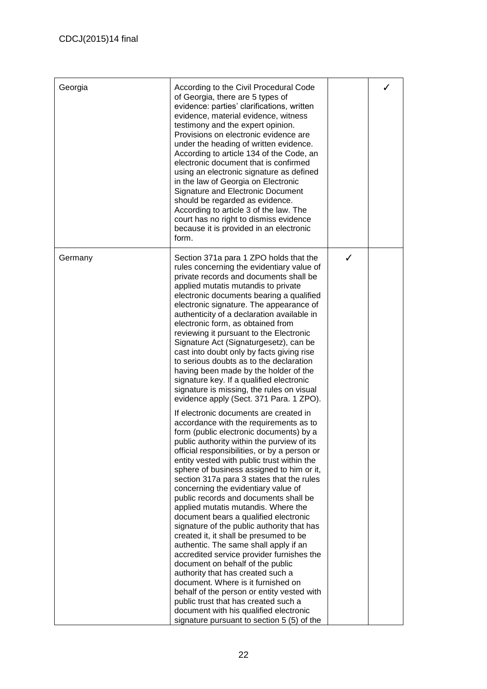| Georgia | According to the Civil Procedural Code<br>of Georgia, there are 5 types of<br>evidence: parties' clarifications, written<br>evidence, material evidence, witness<br>testimony and the expert opinion.<br>Provisions on electronic evidence are<br>under the heading of written evidence.<br>According to article 134 of the Code, an<br>electronic document that is confirmed<br>using an electronic signature as defined<br>in the law of Georgia on Electronic<br>Signature and Electronic Document<br>should be regarded as evidence.<br>According to article 3 of the law. The<br>court has no right to dismiss evidence<br>because it is provided in an electronic<br>form.                                                                                                                                                                                                                                                                                                                             |   |  |
|---------|--------------------------------------------------------------------------------------------------------------------------------------------------------------------------------------------------------------------------------------------------------------------------------------------------------------------------------------------------------------------------------------------------------------------------------------------------------------------------------------------------------------------------------------------------------------------------------------------------------------------------------------------------------------------------------------------------------------------------------------------------------------------------------------------------------------------------------------------------------------------------------------------------------------------------------------------------------------------------------------------------------------|---|--|
| Germany | Section 371a para 1 ZPO holds that the<br>rules concerning the evidentiary value of<br>private records and documents shall be<br>applied mutatis mutandis to private<br>electronic documents bearing a qualified<br>electronic signature. The appearance of<br>authenticity of a declaration available in<br>electronic form, as obtained from<br>reviewing it pursuant to the Electronic<br>Signature Act (Signaturgesetz), can be<br>cast into doubt only by facts giving rise<br>to serious doubts as to the declaration<br>having been made by the holder of the<br>signature key. If a qualified electronic<br>signature is missing, the rules on visual<br>evidence apply (Sect. 371 Para. 1 ZPO).                                                                                                                                                                                                                                                                                                     | ✓ |  |
|         | If electronic documents are created in<br>accordance with the requirements as to<br>form (public electronic documents) by a<br>public authority within the purview of its<br>official responsibilities, or by a person or<br>entity vested with public trust within the<br>sphere of business assigned to him or it,<br>section 317a para 3 states that the rules<br>concerning the evidentiary value of<br>public records and documents shall be<br>applied mutatis mutandis. Where the<br>document bears a qualified electronic<br>signature of the public authority that has<br>created it, it shall be presumed to be<br>authentic. The same shall apply if an<br>accredited service provider furnishes the<br>document on behalf of the public<br>authority that has created such a<br>document. Where is it furnished on<br>behalf of the person or entity vested with<br>public trust that has created such a<br>document with his qualified electronic<br>signature pursuant to section 5 (5) of the |   |  |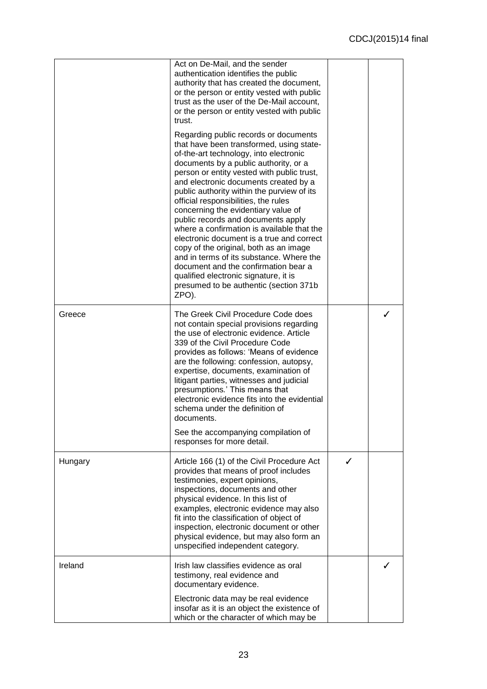|         | Act on De-Mail, and the sender<br>authentication identifies the public<br>authority that has created the document,<br>or the person or entity vested with public<br>trust as the user of the De-Mail account,<br>or the person or entity vested with public<br>trust.<br>Regarding public records or documents<br>that have been transformed, using state-<br>of-the-art technology, into electronic<br>documents by a public authority, or a<br>person or entity vested with public trust,<br>and electronic documents created by a<br>public authority within the purview of its<br>official responsibilities, the rules<br>concerning the evidentiary value of<br>public records and documents apply<br>where a confirmation is available that the<br>electronic document is a true and correct<br>copy of the original, both as an image<br>and in terms of its substance. Where the<br>document and the confirmation bear a<br>qualified electronic signature, it is<br>presumed to be authentic (section 371b<br>ZPO). |  |
|---------|------------------------------------------------------------------------------------------------------------------------------------------------------------------------------------------------------------------------------------------------------------------------------------------------------------------------------------------------------------------------------------------------------------------------------------------------------------------------------------------------------------------------------------------------------------------------------------------------------------------------------------------------------------------------------------------------------------------------------------------------------------------------------------------------------------------------------------------------------------------------------------------------------------------------------------------------------------------------------------------------------------------------------|--|
| Greece  | The Greek Civil Procedure Code does<br>not contain special provisions regarding<br>the use of electronic evidence. Article<br>339 of the Civil Procedure Code<br>provides as follows: 'Means of evidence<br>are the following: confession, autopsy,<br>expertise, documents, examination of<br>litigant parties, witnesses and judicial<br>presumptions.' This means that<br>electronic evidence fits into the evidential<br>schema under the definition of<br>documents.<br>See the accompanying compilation of                                                                                                                                                                                                                                                                                                                                                                                                                                                                                                             |  |
|         | responses for more detail.                                                                                                                                                                                                                                                                                                                                                                                                                                                                                                                                                                                                                                                                                                                                                                                                                                                                                                                                                                                                   |  |
| Hungary | Article 166 (1) of the Civil Procedure Act<br>provides that means of proof includes<br>testimonies, expert opinions,<br>inspections, documents and other<br>physical evidence. In this list of<br>examples, electronic evidence may also<br>fit into the classification of object of<br>inspection, electronic document or other<br>physical evidence, but may also form an<br>unspecified independent category.                                                                                                                                                                                                                                                                                                                                                                                                                                                                                                                                                                                                             |  |
| Ireland | Irish law classifies evidence as oral<br>testimony, real evidence and<br>documentary evidence.                                                                                                                                                                                                                                                                                                                                                                                                                                                                                                                                                                                                                                                                                                                                                                                                                                                                                                                               |  |
|         | Electronic data may be real evidence<br>insofar as it is an object the existence of<br>which or the character of which may be                                                                                                                                                                                                                                                                                                                                                                                                                                                                                                                                                                                                                                                                                                                                                                                                                                                                                                |  |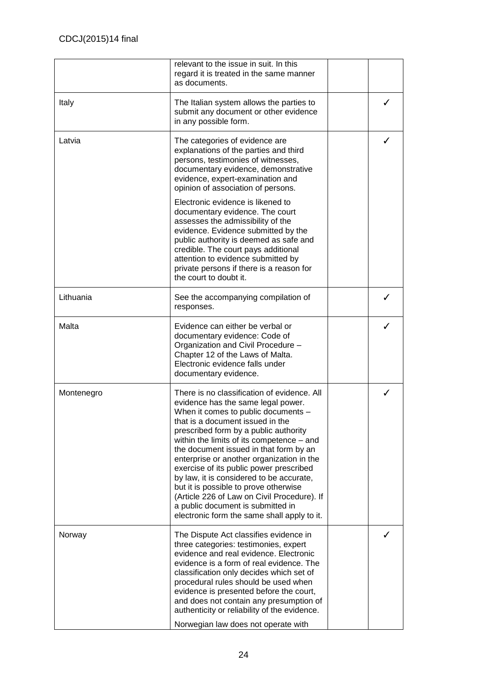|            | relevant to the issue in suit. In this<br>regard it is treated in the same manner<br>as documents.                                                                                                                                                                                                                                                                                                                                                                                                                                                                                                           |   |
|------------|--------------------------------------------------------------------------------------------------------------------------------------------------------------------------------------------------------------------------------------------------------------------------------------------------------------------------------------------------------------------------------------------------------------------------------------------------------------------------------------------------------------------------------------------------------------------------------------------------------------|---|
| Italy      | The Italian system allows the parties to<br>submit any document or other evidence<br>in any possible form.                                                                                                                                                                                                                                                                                                                                                                                                                                                                                                   | ℐ |
| Latvia     | The categories of evidence are<br>explanations of the parties and third<br>persons, testimonies of witnesses,<br>documentary evidence, demonstrative<br>evidence, expert-examination and<br>opinion of association of persons.                                                                                                                                                                                                                                                                                                                                                                               | ✓ |
|            | Electronic evidence is likened to<br>documentary evidence. The court<br>assesses the admissibility of the<br>evidence. Evidence submitted by the<br>public authority is deemed as safe and<br>credible. The court pays additional<br>attention to evidence submitted by<br>private persons if there is a reason for<br>the court to doubt it.                                                                                                                                                                                                                                                                |   |
| Lithuania  | See the accompanying compilation of<br>responses.                                                                                                                                                                                                                                                                                                                                                                                                                                                                                                                                                            | ✓ |
| Malta      | Evidence can either be verbal or<br>documentary evidence: Code of<br>Organization and Civil Procedure -<br>Chapter 12 of the Laws of Malta.<br>Electronic evidence falls under<br>documentary evidence.                                                                                                                                                                                                                                                                                                                                                                                                      |   |
| Montenegro | There is no classification of evidence. All<br>evidence has the same legal power.<br>When it comes to public documents -<br>that is a document issued in the<br>prescribed form by a public authority<br>within the limits of its competence – and<br>the document issued in that form by an<br>enterprise or another organization in the<br>exercise of its public power prescribed<br>by law, it is considered to be accurate,<br>but it is possible to prove otherwise<br>(Article 226 of Law on Civil Procedure). If<br>a public document is submitted in<br>electronic form the same shall apply to it. |   |
| Norway     | The Dispute Act classifies evidence in<br>three categories: testimonies, expert<br>evidence and real evidence. Electronic<br>evidence is a form of real evidence. The<br>classification only decides which set of<br>procedural rules should be used when<br>evidence is presented before the court,<br>and does not contain any presumption of<br>authenticity or reliability of the evidence.<br>Norwegian law does not operate with                                                                                                                                                                       |   |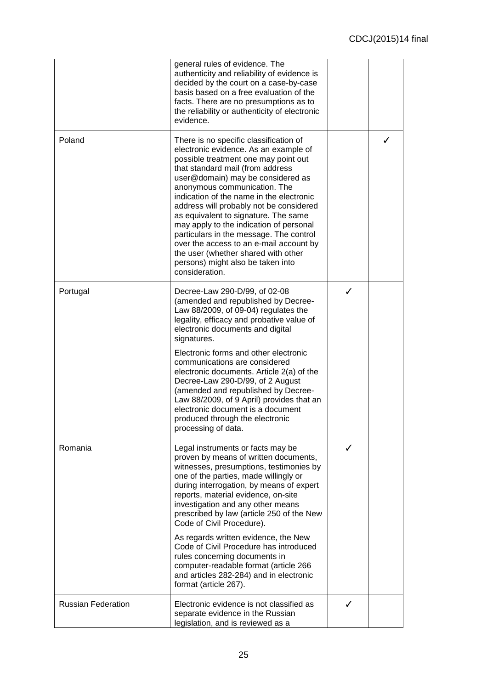|                           | general rules of evidence. The<br>authenticity and reliability of evidence is<br>decided by the court on a case-by-case<br>basis based on a free evaluation of the<br>facts. There are no presumptions as to<br>the reliability or authenticity of electronic<br>evidence.                                                                                                                                                                                                                                                                                                                     |   |   |
|---------------------------|------------------------------------------------------------------------------------------------------------------------------------------------------------------------------------------------------------------------------------------------------------------------------------------------------------------------------------------------------------------------------------------------------------------------------------------------------------------------------------------------------------------------------------------------------------------------------------------------|---|---|
| Poland                    | There is no specific classification of<br>electronic evidence. As an example of<br>possible treatment one may point out<br>that standard mail (from address<br>user@domain) may be considered as<br>anonymous communication. The<br>indication of the name in the electronic<br>address will probably not be considered<br>as equivalent to signature. The same<br>may apply to the indication of personal<br>particulars in the message. The control<br>over the access to an e-mail account by<br>the user (whether shared with other<br>persons) might also be taken into<br>consideration. |   | ✓ |
| Portugal                  | Decree-Law 290-D/99, of 02-08<br>(amended and republished by Decree-<br>Law 88/2009, of 09-04) regulates the<br>legality, efficacy and probative value of<br>electronic documents and digital<br>signatures.<br>Electronic forms and other electronic                                                                                                                                                                                                                                                                                                                                          | ✓ |   |
|                           | communications are considered<br>electronic documents. Article 2(a) of the<br>Decree-Law 290-D/99, of 2 August<br>(amended and republished by Decree-<br>Law 88/2009, of 9 April) provides that an<br>electronic document is a document<br>produced through the electronic<br>processing of data.                                                                                                                                                                                                                                                                                              |   |   |
| Romania                   | Legal instruments or facts may be<br>proven by means of written documents,<br>witnesses, presumptions, testimonies by<br>one of the parties, made willingly or<br>during interrogation, by means of expert<br>reports, material evidence, on-site<br>investigation and any other means<br>prescribed by law (article 250 of the New<br>Code of Civil Procedure).                                                                                                                                                                                                                               | ✓ |   |
|                           | As regards written evidence, the New<br>Code of Civil Procedure has introduced<br>rules concerning documents in<br>computer-readable format (article 266<br>and articles 282-284) and in electronic<br>format (article 267).                                                                                                                                                                                                                                                                                                                                                                   |   |   |
| <b>Russian Federation</b> | Electronic evidence is not classified as<br>separate evidence in the Russian<br>legislation, and is reviewed as a                                                                                                                                                                                                                                                                                                                                                                                                                                                                              | ✓ |   |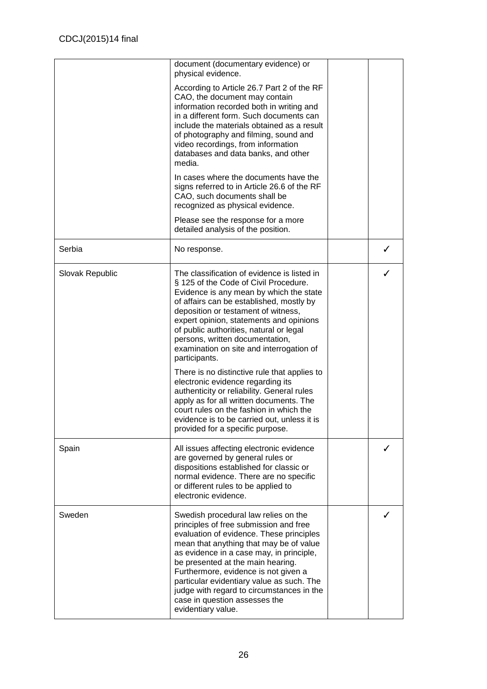|                 | document (documentary evidence) or<br>physical evidence.                                                                                                                                                                                                                                                                                                                                                                                                 |   |
|-----------------|----------------------------------------------------------------------------------------------------------------------------------------------------------------------------------------------------------------------------------------------------------------------------------------------------------------------------------------------------------------------------------------------------------------------------------------------------------|---|
|                 | According to Article 26.7 Part 2 of the RF<br>CAO, the document may contain<br>information recorded both in writing and<br>in a different form. Such documents can<br>include the materials obtained as a result<br>of photography and filming, sound and<br>video recordings, from information<br>databases and data banks, and other<br>media.                                                                                                         |   |
|                 | In cases where the documents have the<br>signs referred to in Article 26.6 of the RF<br>CAO, such documents shall be<br>recognized as physical evidence.                                                                                                                                                                                                                                                                                                 |   |
|                 | Please see the response for a more<br>detailed analysis of the position.                                                                                                                                                                                                                                                                                                                                                                                 |   |
| Serbia          | No response.                                                                                                                                                                                                                                                                                                                                                                                                                                             | ✓ |
| Slovak Republic | The classification of evidence is listed in<br>§ 125 of the Code of Civil Procedure.<br>Evidence is any mean by which the state<br>of affairs can be established, mostly by<br>deposition or testament of witness,<br>expert opinion, statements and opinions<br>of public authorities, natural or legal<br>persons, written documentation,<br>examination on site and interrogation of<br>participants.<br>There is no distinctive rule that applies to | ✓ |
|                 | electronic evidence regarding its<br>authenticity or reliability. General rules<br>apply as for all written documents. The<br>court rules on the fashion in which the<br>evidence is to be carried out, unless it is<br>provided for a specific purpose.                                                                                                                                                                                                 |   |
| Spain           | All issues affecting electronic evidence<br>are governed by general rules or<br>dispositions established for classic or<br>normal evidence. There are no specific<br>or different rules to be applied to<br>electronic evidence.                                                                                                                                                                                                                         |   |
| Sweden          | Swedish procedural law relies on the<br>principles of free submission and free<br>evaluation of evidence. These principles<br>mean that anything that may be of value<br>as evidence in a case may, in principle,<br>be presented at the main hearing.<br>Furthermore, evidence is not given a<br>particular evidentiary value as such. The<br>judge with regard to circumstances in the<br>case in question assesses the<br>evidentiary value.          | ✓ |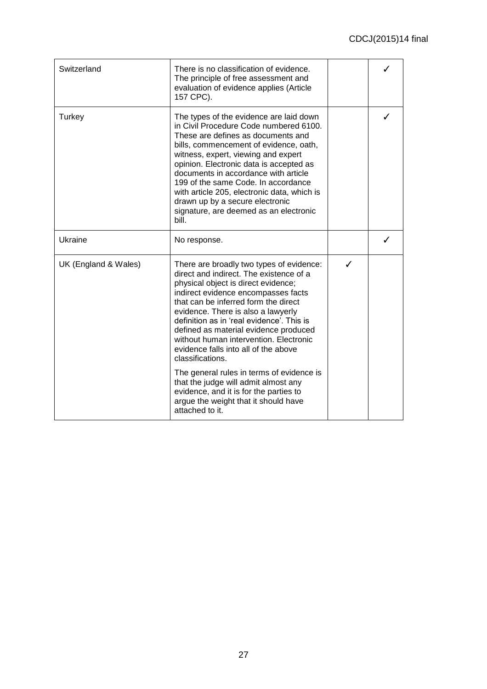| Switzerland          | There is no classification of evidence.<br>The principle of free assessment and<br>evaluation of evidence applies (Article<br>157 CPC).                                                                                                                                                                                                                                                                                                                                                                                                                                                                                               |   |  |
|----------------------|---------------------------------------------------------------------------------------------------------------------------------------------------------------------------------------------------------------------------------------------------------------------------------------------------------------------------------------------------------------------------------------------------------------------------------------------------------------------------------------------------------------------------------------------------------------------------------------------------------------------------------------|---|--|
| Turkey               | The types of the evidence are laid down<br>in Civil Procedure Code numbered 6100.<br>These are defines as documents and<br>bills, commencement of evidence, oath,<br>witness, expert, viewing and expert<br>opinion. Electronic data is accepted as<br>documents in accordance with article<br>199 of the same Code. In accordance<br>with article 205, electronic data, which is<br>drawn up by a secure electronic<br>signature, are deemed as an electronic<br>bill.                                                                                                                                                               |   |  |
| <b>Ukraine</b>       | No response.                                                                                                                                                                                                                                                                                                                                                                                                                                                                                                                                                                                                                          |   |  |
| UK (England & Wales) | There are broadly two types of evidence:<br>direct and indirect. The existence of a<br>physical object is direct evidence;<br>indirect evidence encompasses facts<br>that can be inferred form the direct<br>evidence. There is also a lawyerly<br>definition as in 'real evidence'. This is<br>defined as material evidence produced<br>without human intervention. Electronic<br>evidence falls into all of the above<br>classifications.<br>The general rules in terms of evidence is<br>that the judge will admit almost any<br>evidence, and it is for the parties to<br>argue the weight that it should have<br>attached to it. | ✓ |  |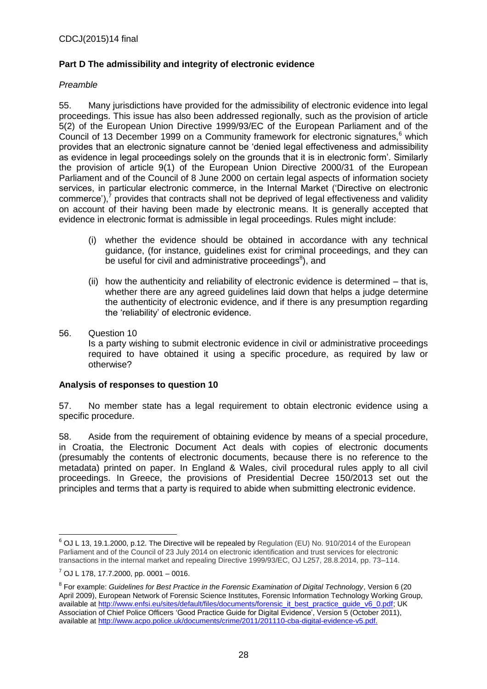## **Part D The admissibility and integrity of electronic evidence**

### *Preamble*

55. Many jurisdictions have provided for the admissibility of electronic evidence into legal proceedings. This issue has also been addressed regionally, such as the provision of article 5(2) of the European Union Directive 1999/93/EC of the European Parliament and of the Council of 13 December 1999 on a Community framework for electronic signatures, $6$  which provides that an electronic signature cannot be 'denied legal effectiveness and admissibility as evidence in legal proceedings solely on the grounds that it is in electronic form'. Similarly the provision of article 9(1) of the European Union Directive 2000/31 of the European Parliament and of the Council of 8 June 2000 on certain legal aspects of information society services, in particular electronic commerce, in the Internal Market ('Directive on electronic commerce'),<sup>7</sup> provides that contracts shall not be deprived of legal effectiveness and validity on account of their having been made by electronic means. It is generally accepted that evidence in electronic format is admissible in legal proceedings. Rules might include:

- (i) whether the evidence should be obtained in accordance with any technical guidance, (for instance, guidelines exist for criminal proceedings, and they can be useful for civil and administrative proceedings ${}^{8}$ ), and
- (ii) how the authenticity and reliability of electronic evidence is determined that is, whether there are any agreed guidelines laid down that helps a judge determine the authenticity of electronic evidence, and if there is any presumption regarding the 'reliability' of electronic evidence.
- 56. Question 10 Is a party wishing to submit electronic evidence in civil or administrative proceedings required to have obtained it using a specific procedure, as required by law or otherwise?

### **Analysis of responses to question 10**

57. No member state has a legal requirement to obtain electronic evidence using a specific procedure.

58. Aside from the requirement of obtaining evidence by means of a special procedure, in Croatia, the Electronic Document Act deals with copies of electronic documents (presumably the contents of electronic documents, because there is no reference to the metadata) printed on paper. In England & Wales, civil procedural rules apply to all civil proceedings. In Greece, the provisions of Presidential Decree 150/2013 set out the principles and terms that a party is required to abide when submitting electronic evidence.

 $\overline{a}$ <sup>6</sup> OJ L 13, 19.1.2000, p.12. The Directive will be repealed by Regulation (EU) No. 910/2014 of the European Parliament and of the Council of 23 July 2014 on electronic identification and trust services for electronic transactions in the internal market and repealing Directive 1999/93/EC, OJ L257, 28.8.2014, pp. 73–114.

 $<sup>7</sup>$  OJ L 178, 17.7.2000, pp. 0001 – 0016.</sup>

<sup>8</sup> For example: *Guidelines for Best Practice in the Forensic Examination of Digital Technology*, Version 6 (20 April 2009), European Network of Forensic Science Institutes, Forensic Information Technology Working Group, available at http://www.enfsi.eu/sites/default/files/documents/forensic\_it\_best\_practice\_quide\_v6\_0.pdf; UK Association of Chief Police Officers 'Good Practice Guide for Digital Evidence', Version 5 (October 2011), available at [http://www.acpo.police.uk/documents/crime/2011/201110-cba-digital-evidence-v5.pdf.](http://www.acpo.police.uk/documents/crime/2011/201110-cba-digital-evidence-v5.pdf)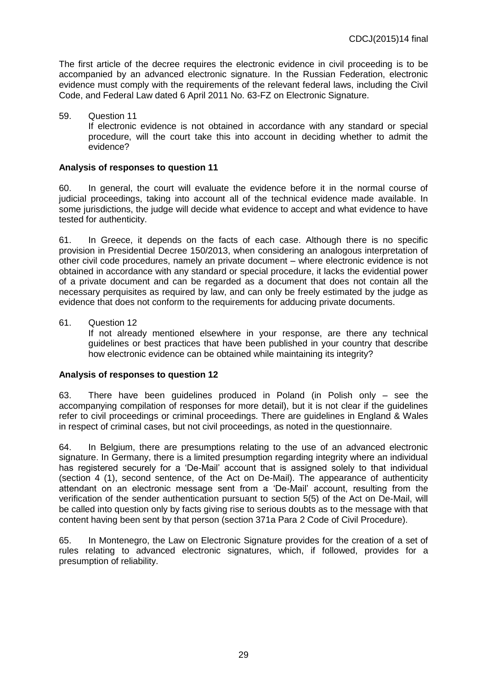The first article of the decree requires the electronic evidence in civil proceeding is to be accompanied by an advanced electronic signature. In the Russian Federation, electronic evidence must comply with the requirements of the relevant federal laws, including the Civil Code, and Federal Law dated 6 April 2011 No. 63-FZ on Electronic Signature.

59. Question 11 If electronic evidence is not obtained in accordance with any standard or special procedure, will the court take this into account in deciding whether to admit the evidence?

## **Analysis of responses to question 11**

60. In general, the court will evaluate the evidence before it in the normal course of judicial proceedings, taking into account all of the technical evidence made available. In some jurisdictions, the judge will decide what evidence to accept and what evidence to have tested for authenticity.

61. In Greece, it depends on the facts of each case. Although there is no specific provision in Presidential Decree 150/2013, when considering an analogous interpretation of other civil code procedures, namely an private document – where electronic evidence is not obtained in accordance with any standard or special procedure, it lacks the evidential power of a private document and can be regarded as a document that does not contain all the necessary perquisites as required by law, and can only be freely estimated by the judge as evidence that does not conform to the requirements for adducing private documents.

61. Question 12

If not already mentioned elsewhere in your response, are there any technical guidelines or best practices that have been published in your country that describe how electronic evidence can be obtained while maintaining its integrity?

### **Analysis of responses to question 12**

63. There have been guidelines produced in Poland (in Polish only – see the accompanying compilation of responses for more detail), but it is not clear if the guidelines refer to civil proceedings or criminal proceedings. There are guidelines in England & Wales in respect of criminal cases, but not civil proceedings, as noted in the questionnaire.

64. In Belgium, there are presumptions relating to the use of an advanced electronic signature. In Germany, there is a limited presumption regarding integrity where an individual has registered securely for a 'De-Mail' account that is assigned solely to that individual (section 4 (1), second sentence, of the Act on De-Mail). The appearance of authenticity attendant on an electronic message sent from a 'De-Mail' account, resulting from the verification of the sender authentication pursuant to section 5(5) of the Act on De-Mail, will be called into question only by facts giving rise to serious doubts as to the message with that content having been sent by that person (section 371a Para 2 Code of Civil Procedure).

65. In Montenegro, the Law on Electronic Signature provides for the creation of a set of rules relating to advanced electronic signatures, which, if followed, provides for a presumption of reliability.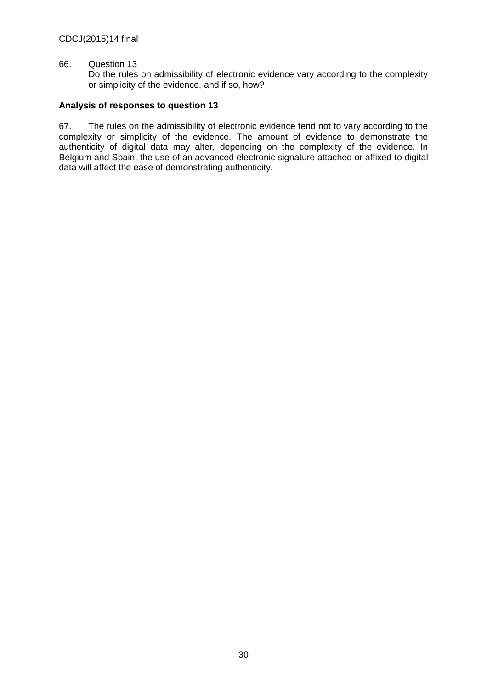#### 66. Question 13

Do the rules on admissibility of electronic evidence vary according to the complexity or simplicity of the evidence, and if so, how?

### **Analysis of responses to question 13**

67. The rules on the admissibility of electronic evidence tend not to vary according to the complexity or simplicity of the evidence. The amount of evidence to demonstrate the authenticity of digital data may alter, depending on the complexity of the evidence. In Belgium and Spain, the use of an advanced electronic signature attached or affixed to digital data will affect the ease of demonstrating authenticity.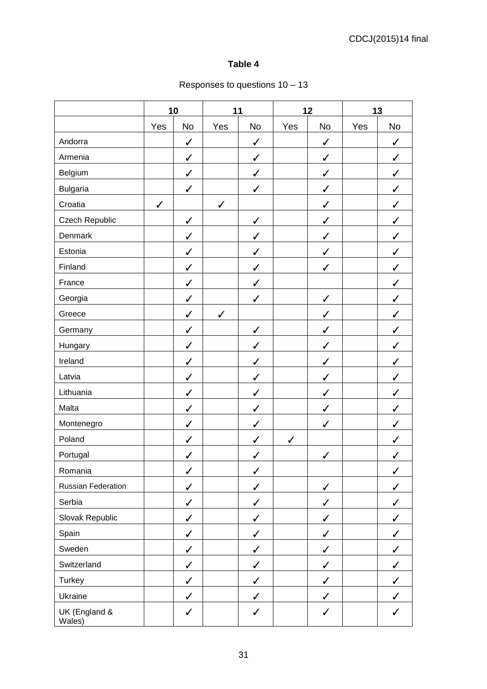## **Table 4**

## Responses to questions 10 – 13

|                           | 10<br>11     |              |              | 12           |              | 13           |     |              |
|---------------------------|--------------|--------------|--------------|--------------|--------------|--------------|-----|--------------|
|                           | Yes          | No           | Yes          | No           | Yes          | No           | Yes | <b>No</b>    |
| Andorra                   |              | $\checkmark$ |              | $\checkmark$ |              | $\checkmark$ |     | $\checkmark$ |
| Armenia                   |              | $\checkmark$ |              | $\checkmark$ |              | $\checkmark$ |     | $\checkmark$ |
| Belgium                   |              | $\checkmark$ |              | $\checkmark$ |              | $\checkmark$ |     | $\checkmark$ |
| <b>Bulgaria</b>           |              | $\checkmark$ |              | $\checkmark$ |              | $\checkmark$ |     | $\checkmark$ |
| Croatia                   | $\checkmark$ |              | $\checkmark$ |              |              | ✓            |     | ✓            |
| Czech Republic            |              | $\checkmark$ |              | $\checkmark$ |              | ✓            |     | ✓            |
| Denmark                   |              | $\checkmark$ |              | $\checkmark$ |              | $\checkmark$ |     | $\checkmark$ |
| Estonia                   |              | $\checkmark$ |              | $\checkmark$ |              | ✓            |     | ✓            |
| Finland                   |              | $\checkmark$ |              | $\checkmark$ |              | ✓            |     | ✓            |
| France                    |              | $\checkmark$ |              | ✓            |              |              |     | ✓            |
| Georgia                   |              | $\checkmark$ |              | $\checkmark$ |              | $\checkmark$ |     | ✓            |
| Greece                    |              | $\checkmark$ | $\checkmark$ |              |              | $\checkmark$ |     | ✓            |
| Germany                   |              | $\checkmark$ |              | $\checkmark$ |              | $\checkmark$ |     | ✓            |
| Hungary                   |              | $\checkmark$ |              | $\checkmark$ |              | ✓            |     | ✓            |
| Ireland                   |              | $\checkmark$ |              | $\checkmark$ |              | ✓            |     | ✓            |
| Latvia                    |              | $\checkmark$ |              | $\checkmark$ |              | $\checkmark$ |     | $\checkmark$ |
| Lithuania                 |              | $\checkmark$ |              | ✓            |              | $\checkmark$ |     | $\checkmark$ |
| Malta                     |              | $\checkmark$ |              | $\checkmark$ |              | $\checkmark$ |     | ✓            |
| Montenegro                |              | $\checkmark$ |              | $\checkmark$ |              | ✓            |     | $\checkmark$ |
| Poland                    |              | $\checkmark$ |              | $\checkmark$ | $\checkmark$ |              |     | ✓            |
| Portugal                  |              | $\checkmark$ |              | $\checkmark$ |              | ✓            |     | $\checkmark$ |
| Romania                   |              | $\checkmark$ |              | $\checkmark$ |              |              |     | $\checkmark$ |
| <b>Russian Federation</b> |              | $\checkmark$ |              | $\checkmark$ |              | $\checkmark$ |     | $\checkmark$ |
| Serbia                    |              | $\checkmark$ |              | ✓            |              | $\checkmark$ |     | $\checkmark$ |
| Slovak Republic           |              | $\checkmark$ |              | $\checkmark$ |              | $\checkmark$ |     | $\checkmark$ |
| Spain                     |              | $\checkmark$ |              | $\checkmark$ |              | $\checkmark$ |     | $\checkmark$ |
| Sweden                    |              | $\checkmark$ |              | $\checkmark$ |              | $\checkmark$ |     | $\checkmark$ |
| Switzerland               |              | $\checkmark$ |              | $\checkmark$ |              | $\checkmark$ |     | $\checkmark$ |
| Turkey                    |              | $\checkmark$ |              | $\checkmark$ |              | $\checkmark$ |     | $\checkmark$ |
| Ukraine                   |              | $\checkmark$ |              | $\checkmark$ |              | $\checkmark$ |     | $\checkmark$ |
| UK (England &<br>Wales)   |              | $\checkmark$ |              | $\checkmark$ |              | $\checkmark$ |     | $\checkmark$ |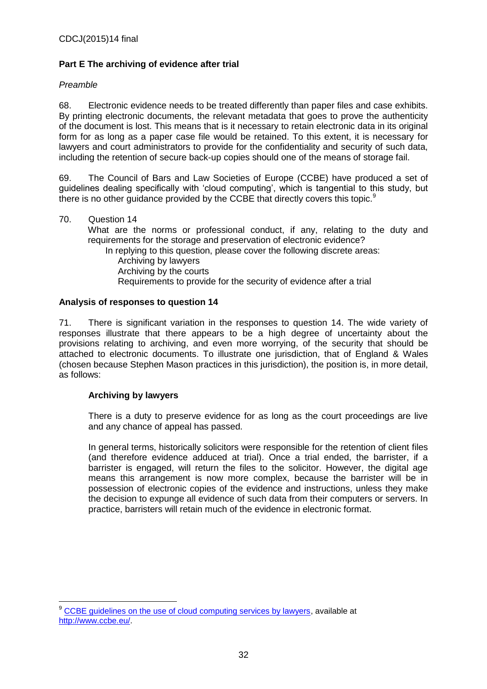## **Part E The archiving of evidence after trial**

## *Preamble*

68. Electronic evidence needs to be treated differently than paper files and case exhibits. By printing electronic documents, the relevant metadata that goes to prove the authenticity of the document is lost. This means that is it necessary to retain electronic data in its original form for as long as a paper case file would be retained. To this extent, it is necessary for lawyers and court administrators to provide for the confidentiality and security of such data, including the retention of secure back-up copies should one of the means of storage fail.

69. The Council of Bars and Law Societies of Europe (CCBE) have produced a set of guidelines dealing specifically with 'cloud computing', which is tangential to this study, but there is no other guidance provided by the CCBE that directly covers this topic.<sup>9</sup>

70. Question 14 What are the norms or professional conduct, if any, relating to the duty and requirements for the storage and preservation of electronic evidence? In replying to this question, please cover the following discrete areas: Archiving by lawyers Archiving by the courts Requirements to provide for the security of evidence after a trial

## **Analysis of responses to question 14**

71. There is significant variation in the responses to question 14. The wide variety of responses illustrate that there appears to be a high degree of uncertainty about the provisions relating to archiving, and even more worrying, of the security that should be attached to electronic documents. To illustrate one jurisdiction, that of England & Wales (chosen because Stephen Mason practices in this jurisdiction), the position is, in more detail, as follows:

## **Archiving by lawyers**

 $\overline{a}$ 

There is a duty to preserve evidence for as long as the court proceedings are live and any chance of appeal has passed.

In general terms, historically solicitors were responsible for the retention of client files (and therefore evidence adduced at trial). Once a trial ended, the barrister, if a barrister is engaged, will return the files to the solicitor. However, the digital age means this arrangement is now more complex, because the barrister will be in possession of electronic copies of the evidence and instructions, unless they make the decision to expunge all evidence of such data from their computers or servers. In practice, barristers will retain much of the evidence in electronic format.

<sup>&</sup>lt;sup>9</sup> [CCBE guidelines on the use of cloud computing services by lawyers,](http://www.ccbe.eu/fileadmin/user_upload/NTCdocument/07092012_EN_CCBE_gui1_1347539443.pdf) available at [http://www.ccbe.eu/.](http://www.ccbe.eu/)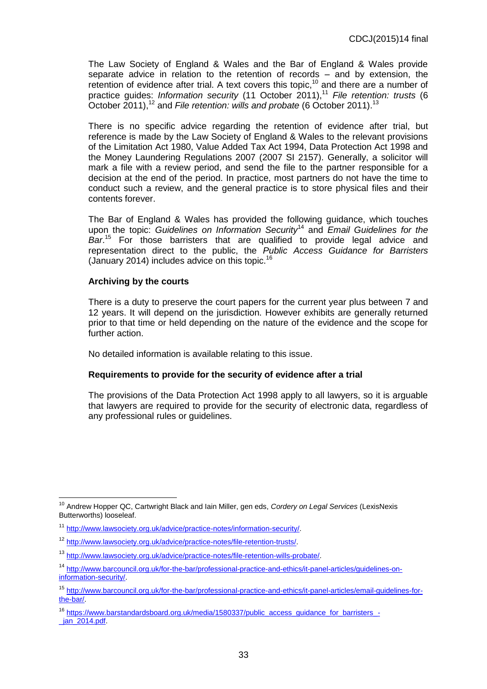The Law Society of England & Wales and the Bar of England & Wales provide separate advice in relation to the retention of records – and by extension, the retention of evidence after trial. A text covers this topic,<sup>10</sup> and there are a number of practice guides: *Information security* (11 October 2011),<sup>11</sup> *File retention: trusts* (6 October 2011),<sup>12</sup> and *File retention: wills and probate* (6 October 2011).<sup>13</sup>

There is no specific advice regarding the retention of evidence after trial, but reference is made by the Law Society of England & Wales to the relevant provisions of the Limitation Act 1980, Value Added Tax Act 1994, Data Protection Act 1998 and the Money Laundering Regulations 2007 (2007 SI 2157). Generally, a solicitor will mark a file with a review period, and send the file to the partner responsible for a decision at the end of the period. In practice, most partners do not have the time to conduct such a review, and the general practice is to store physical files and their contents forever.

The Bar of England & Wales has provided the following guidance, which touches upon the topic: *Guidelines on Information Security*<sup>14</sup> and *Email Guidelines for the Bar*. <sup>15</sup> For those barristers that are qualified to provide legal advice and representation direct to the public, the *Public Access Guidance for Barristers* (January 2014) includes advice on this topic.<sup>16</sup>

#### **Archiving by the courts**

There is a duty to preserve the court papers for the current year plus between 7 and 12 years. It will depend on the jurisdiction. However exhibits are generally returned prior to that time or held depending on the nature of the evidence and the scope for further action.

No detailed information is available relating to this issue.

#### **Requirements to provide for the security of evidence after a trial**

The provisions of the Data Protection Act 1998 apply to all lawyers, so it is arguable that lawyers are required to provide for the security of electronic data, regardless of any professional rules or guidelines.

 $\overline{1}$ <sup>10</sup> Andrew Hopper QC, Cartwright Black and Iain Miller, gen eds, *Cordery on Legal Services* (LexisNexis Butterworths) looseleaf.

<sup>11</sup> [http://www.lawsociety.org.uk/advice/practice-notes/information-security/.](http://www.lawsociety.org.uk/advice/practice-notes/information-security/)

<sup>12</sup> [http://www.lawsociety.org.uk/advice/practice-notes/file-retention-trusts/.](http://www.lawsociety.org.uk/advice/practice-notes/file-retention-trusts/)

<sup>13</sup> [http://www.lawsociety.org.uk/advice/practice-notes/file-retention-wills-probate/.](http://www.lawsociety.org.uk/advice/practice-notes/file-retention-wills-probate/)

<sup>&</sup>lt;sup>14</sup> [http://www.barcouncil.org.uk/for-the-bar/professional-practice-and-ethics/it-panel-articles/guidelines-on](http://www.barcouncil.org.uk/for-the-bar/professional-practice-and-ethics/it-panel-articles/guidelines-on-information-security/)[information-security/.](http://www.barcouncil.org.uk/for-the-bar/professional-practice-and-ethics/it-panel-articles/guidelines-on-information-security/)

<sup>15</sup> [http://www.barcouncil.org.uk/for-the-bar/professional-practice-and-ethics/it-panel-articles/email-guidelines-for](http://www.barcouncil.org.uk/for-the-bar/professional-practice-and-ethics/it-panel-articles/email-guidelines-for-the-bar/)[the-bar/.](http://www.barcouncil.org.uk/for-the-bar/professional-practice-and-ethics/it-panel-articles/email-guidelines-for-the-bar/)

<sup>&</sup>lt;sup>16</sup> [https://www.barstandardsboard.org.uk/media/1580337/public\\_access\\_guidance\\_for\\_barristers\\_](https://www.barstandardsboard.org.uk/media/1580337/public_access_guidance_for_barristers_-_jan_2014.pdf) jan\_2014.pdf.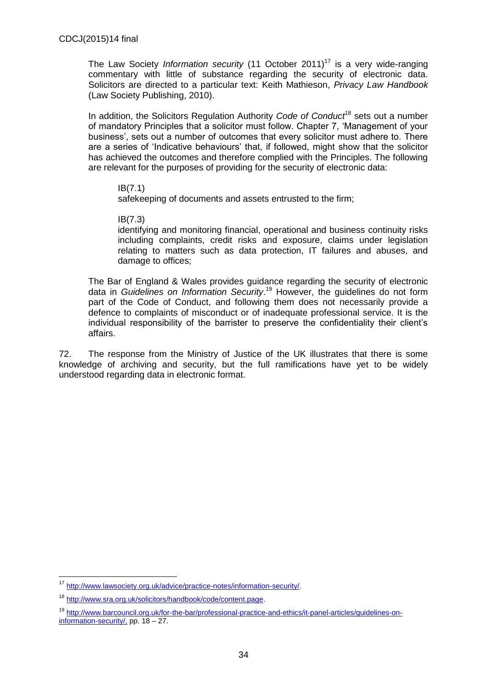The Law Society *Information security* (11 October 2011)<sup>17</sup> is a very wide-ranging commentary with little of substance regarding the security of electronic data. Solicitors are directed to a particular text: Keith Mathieson, *Privacy Law Handbook* (Law Society Publishing, 2010).

In addition, the Solicitors Regulation Authority *Code of Conduct*<sup>18</sup> sets out a number of mandatory Principles that a solicitor must follow. Chapter 7, 'Management of your business', sets out a number of outcomes that every solicitor must adhere to. There are a series of 'Indicative behaviours' that, if followed, might show that the solicitor has achieved the outcomes and therefore complied with the Principles. The following are relevant for the purposes of providing for the security of electronic data:

#### IB(7.1)

safekeeping of documents and assets entrusted to the firm;

IB(7.3)

identifying and monitoring financial, operational and business continuity risks including complaints, credit risks and exposure, claims under legislation relating to matters such as data protection, IT failures and abuses, and damage to offices;

The Bar of England & Wales provides guidance regarding the security of electronic data in *Guidelines on Information Security*. <sup>19</sup> However, the guidelines do not form part of the Code of Conduct, and following them does not necessarily provide a defence to complaints of misconduct or of inadequate professional service. It is the individual responsibility of the barrister to preserve the confidentiality their client's affairs.

72. The response from the Ministry of Justice of the UK illustrates that there is some knowledge of archiving and security, but the full ramifications have yet to be widely understood regarding data in electronic format.

 $\overline{a}$ 

<sup>17</sup> [http://www.lawsociety.org.uk/advice/practice-notes/information-security/.](http://www.lawsociety.org.uk/advice/practice-notes/information-security/)

<sup>18</sup> [http://www.sra.org.uk/solicitors/handbook/code/content.page.](http://www.sra.org.uk/solicitors/handbook/code/content.page)

<sup>19</sup> [http://www.barcouncil.org.uk/for-the-bar/professional-practice-and-ethics/it-panel-articles/guidelines-on](http://www.barcouncil.org.uk/for-the-bar/professional-practice-and-ethics/it-panel-articles/guidelines-on-information-security/)[information-security/,](http://www.barcouncil.org.uk/for-the-bar/professional-practice-and-ethics/it-panel-articles/guidelines-on-information-security/) pp. 18 – 27.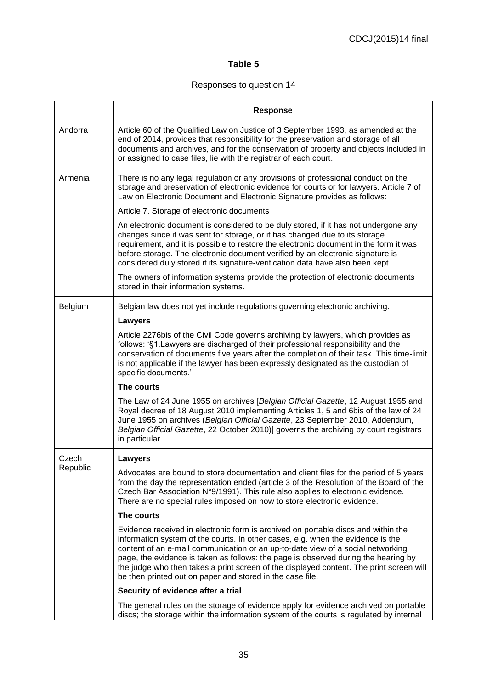## **Table 5**

## Responses to question 14

|          | <b>Response</b>                                                                                                                                                                                                                                                                                                                                                                                                                                                                                       |
|----------|-------------------------------------------------------------------------------------------------------------------------------------------------------------------------------------------------------------------------------------------------------------------------------------------------------------------------------------------------------------------------------------------------------------------------------------------------------------------------------------------------------|
| Andorra  | Article 60 of the Qualified Law on Justice of 3 September 1993, as amended at the<br>end of 2014, provides that responsibility for the preservation and storage of all<br>documents and archives, and for the conservation of property and objects included in<br>or assigned to case files, lie with the registrar of each court.                                                                                                                                                                    |
| Armenia  | There is no any legal regulation or any provisions of professional conduct on the<br>storage and preservation of electronic evidence for courts or for lawyers. Article 7 of<br>Law on Electronic Document and Electronic Signature provides as follows:                                                                                                                                                                                                                                              |
|          | Article 7. Storage of electronic documents                                                                                                                                                                                                                                                                                                                                                                                                                                                            |
|          | An electronic document is considered to be duly stored, if it has not undergone any<br>changes since it was sent for storage, or it has changed due to its storage<br>requirement, and it is possible to restore the electronic document in the form it was<br>before storage. The electronic document verified by an electronic signature is<br>considered duly stored if its signature-verification data have also been kept.                                                                       |
|          | The owners of information systems provide the protection of electronic documents<br>stored in their information systems.                                                                                                                                                                                                                                                                                                                                                                              |
| Belgium  | Belgian law does not yet include regulations governing electronic archiving.                                                                                                                                                                                                                                                                                                                                                                                                                          |
|          | <b>Lawyers</b>                                                                                                                                                                                                                                                                                                                                                                                                                                                                                        |
|          | Article 2276bis of the Civil Code governs archiving by lawyers, which provides as<br>follows: '§1. Lawyers are discharged of their professional responsibility and the<br>conservation of documents five years after the completion of their task. This time-limit<br>is not applicable if the lawyer has been expressly designated as the custodian of<br>specific documents.'                                                                                                                       |
|          | The courts                                                                                                                                                                                                                                                                                                                                                                                                                                                                                            |
|          | The Law of 24 June 1955 on archives [Belgian Official Gazette, 12 August 1955 and<br>Royal decree of 18 August 2010 implementing Articles 1, 5 and 6bis of the law of 24<br>June 1955 on archives (Belgian Official Gazette, 23 September 2010, Addendum,<br>Belgian Official Gazette, 22 October 2010)] governs the archiving by court registrars<br>in particular.                                                                                                                                  |
| Czech    | <b>Lawyers</b>                                                                                                                                                                                                                                                                                                                                                                                                                                                                                        |
| Republic | Advocates are bound to store documentation and client files for the period of 5 years<br>from the day the representation ended (article 3 of the Resolution of the Board of the<br>Czech Bar Association N°9/1991). This rule also applies to electronic evidence.<br>There are no special rules imposed on how to store electronic evidence.                                                                                                                                                         |
|          | The courts                                                                                                                                                                                                                                                                                                                                                                                                                                                                                            |
|          | Evidence received in electronic form is archived on portable discs and within the<br>information system of the courts. In other cases, e.g. when the evidence is the<br>content of an e-mail communication or an up-to-date view of a social networking<br>page, the evidence is taken as follows: the page is observed during the hearing by<br>the judge who then takes a print screen of the displayed content. The print screen will<br>be then printed out on paper and stored in the case file. |
|          | Security of evidence after a trial                                                                                                                                                                                                                                                                                                                                                                                                                                                                    |
|          | The general rules on the storage of evidence apply for evidence archived on portable<br>discs; the storage within the information system of the courts is regulated by internal                                                                                                                                                                                                                                                                                                                       |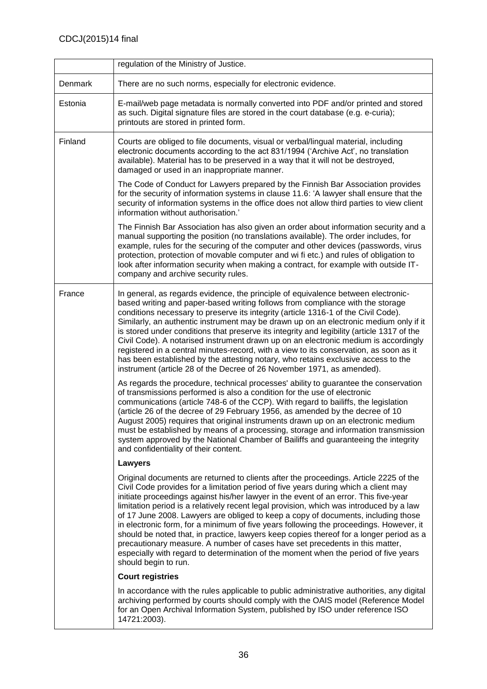|                | regulation of the Ministry of Justice.                                                                                                                                                                                                                                                                                                                                                                                                                                                                                                                                                                                                                                                                                                                                                                                                   |
|----------------|------------------------------------------------------------------------------------------------------------------------------------------------------------------------------------------------------------------------------------------------------------------------------------------------------------------------------------------------------------------------------------------------------------------------------------------------------------------------------------------------------------------------------------------------------------------------------------------------------------------------------------------------------------------------------------------------------------------------------------------------------------------------------------------------------------------------------------------|
| <b>Denmark</b> | There are no such norms, especially for electronic evidence.                                                                                                                                                                                                                                                                                                                                                                                                                                                                                                                                                                                                                                                                                                                                                                             |
| Estonia        | E-mail/web page metadata is normally converted into PDF and/or printed and stored<br>as such. Digital signature files are stored in the court database (e.g. e-curia);<br>printouts are stored in printed form.                                                                                                                                                                                                                                                                                                                                                                                                                                                                                                                                                                                                                          |
| Finland        | Courts are obliged to file documents, visual or verbal/lingual material, including<br>electronic documents according to the act 831/1994 ('Archive Act', no translation<br>available). Material has to be preserved in a way that it will not be destroyed,<br>damaged or used in an inappropriate manner.                                                                                                                                                                                                                                                                                                                                                                                                                                                                                                                               |
|                | The Code of Conduct for Lawyers prepared by the Finnish Bar Association provides<br>for the security of information systems in clause 11.6: 'A lawyer shall ensure that the<br>security of information systems in the office does not allow third parties to view client<br>information without authorisation.'                                                                                                                                                                                                                                                                                                                                                                                                                                                                                                                          |
|                | The Finnish Bar Association has also given an order about information security and a<br>manual supporting the position (no translations available). The order includes, for<br>example, rules for the securing of the computer and other devices (passwords, virus<br>protection, protection of movable computer and wi fi etc.) and rules of obligation to<br>look after information security when making a contract, for example with outside IT-<br>company and archive security rules.                                                                                                                                                                                                                                                                                                                                               |
| France         | In general, as regards evidence, the principle of equivalence between electronic-<br>based writing and paper-based writing follows from compliance with the storage<br>conditions necessary to preserve its integrity (article 1316-1 of the Civil Code).<br>Similarly, an authentic instrument may be drawn up on an electronic medium only if it<br>is stored under conditions that preserve its integrity and legibility (article 1317 of the<br>Civil Code). A notarised instrument drawn up on an electronic medium is accordingly<br>registered in a central minutes-record, with a view to its conservation, as soon as it<br>has been established by the attesting notary, who retains exclusive access to the<br>instrument (article 28 of the Decree of 26 November 1971, as amended).                                         |
|                | As regards the procedure, technical processes' ability to guarantee the conservation<br>of transmissions performed is also a condition for the use of electronic<br>communications (article 748-6 of the CCP). With regard to bailiffs, the legislation<br>(article 26 of the decree of 29 February 1956, as amended by the decree of 10<br>August 2005) requires that original instruments drawn up on an electronic medium<br>must be established by means of a processing, storage and information transmission<br>system approved by the National Chamber of Bailiffs and guaranteeing the integrity<br>and confidentiality of their content.                                                                                                                                                                                        |
|                | Lawyers                                                                                                                                                                                                                                                                                                                                                                                                                                                                                                                                                                                                                                                                                                                                                                                                                                  |
|                | Original documents are returned to clients after the proceedings. Article 2225 of the<br>Civil Code provides for a limitation period of five years during which a client may<br>initiate proceedings against his/her lawyer in the event of an error. This five-year<br>limitation period is a relatively recent legal provision, which was introduced by a law<br>of 17 June 2008. Lawyers are obliged to keep a copy of documents, including those<br>in electronic form, for a minimum of five years following the proceedings. However, it<br>should be noted that, in practice, lawyers keep copies thereof for a longer period as a<br>precautionary measure. A number of cases have set precedents in this matter,<br>especially with regard to determination of the moment when the period of five years<br>should begin to run. |
|                | <b>Court registries</b>                                                                                                                                                                                                                                                                                                                                                                                                                                                                                                                                                                                                                                                                                                                                                                                                                  |
|                | In accordance with the rules applicable to public administrative authorities, any digital<br>archiving performed by courts should comply with the OAIS model (Reference Model<br>for an Open Archival Information System, published by ISO under reference ISO<br>14721:2003).                                                                                                                                                                                                                                                                                                                                                                                                                                                                                                                                                           |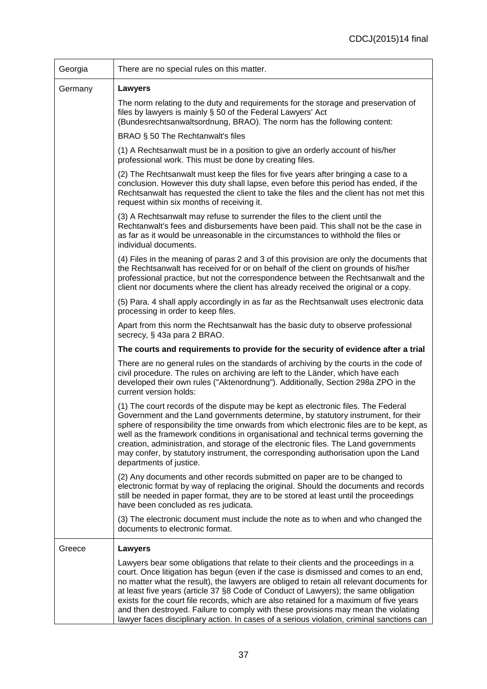| Georgia | There are no special rules on this matter.                                                                                                                                                                                                                                                                                                                                                                                                                                                                                                                                                                                                  |
|---------|---------------------------------------------------------------------------------------------------------------------------------------------------------------------------------------------------------------------------------------------------------------------------------------------------------------------------------------------------------------------------------------------------------------------------------------------------------------------------------------------------------------------------------------------------------------------------------------------------------------------------------------------|
| Germany | Lawyers                                                                                                                                                                                                                                                                                                                                                                                                                                                                                                                                                                                                                                     |
|         | The norm relating to the duty and requirements for the storage and preservation of<br>files by lawyers is mainly § 50 of the Federal Lawyers' Act<br>(Bundesrechtsanwaltsordnung, BRAO). The norm has the following content:                                                                                                                                                                                                                                                                                                                                                                                                                |
|         | BRAO § 50 The Rechtanwalt's files                                                                                                                                                                                                                                                                                                                                                                                                                                                                                                                                                                                                           |
|         | (1) A Rechtsanwalt must be in a position to give an orderly account of his/her<br>professional work. This must be done by creating files.                                                                                                                                                                                                                                                                                                                                                                                                                                                                                                   |
|         | (2) The Rechtsanwalt must keep the files for five years after bringing a case to a<br>conclusion. However this duty shall lapse, even before this period has ended, if the<br>Rechtsanwalt has requested the client to take the files and the client has not met this<br>request within six months of receiving it.                                                                                                                                                                                                                                                                                                                         |
|         | (3) A Rechtsanwalt may refuse to surrender the files to the client until the<br>Rechtanwalt's fees and disbursements have been paid. This shall not be the case in<br>as far as it would be unreasonable in the circumstances to withhold the files or<br>individual documents.                                                                                                                                                                                                                                                                                                                                                             |
|         | (4) Files in the meaning of paras 2 and 3 of this provision are only the documents that<br>the Rechtsanwalt has received for or on behalf of the client on grounds of his/her<br>professional practice, but not the correspondence between the Rechtsanwalt and the<br>client nor documents where the client has already received the original or a copy.                                                                                                                                                                                                                                                                                   |
|         | (5) Para. 4 shall apply accordingly in as far as the Rechtsanwalt uses electronic data<br>processing in order to keep files.                                                                                                                                                                                                                                                                                                                                                                                                                                                                                                                |
|         | Apart from this norm the Rechtsanwalt has the basic duty to observe professional<br>secrecy, § 43a para 2 BRAO.                                                                                                                                                                                                                                                                                                                                                                                                                                                                                                                             |
|         | The courts and requirements to provide for the security of evidence after a trial                                                                                                                                                                                                                                                                                                                                                                                                                                                                                                                                                           |
|         | There are no general rules on the standards of archiving by the courts in the code of<br>civil procedure. The rules on archiving are left to the Länder, which have each<br>developed their own rules ("Aktenordnung"). Additionally, Section 298a ZPO in the<br>current version holds:                                                                                                                                                                                                                                                                                                                                                     |
|         | (1) The court records of the dispute may be kept as electronic files. The Federal<br>Government and the Land governments determine, by statutory instrument, for their<br>sphere of responsibility the time onwards from which electronic files are to be kept, as<br>well as the framework conditions in organisational and technical terms governing the<br>creation, administration, and storage of the electronic files. The Land governments<br>may confer, by statutory instrument, the corresponding authorisation upon the Land<br>departments of justice.                                                                          |
|         | (2) Any documents and other records submitted on paper are to be changed to<br>electronic format by way of replacing the original. Should the documents and records<br>still be needed in paper format, they are to be stored at least until the proceedings<br>have been concluded as res judicata.                                                                                                                                                                                                                                                                                                                                        |
|         | (3) The electronic document must include the note as to when and who changed the<br>documents to electronic format.                                                                                                                                                                                                                                                                                                                                                                                                                                                                                                                         |
| Greece  | <b>Lawyers</b>                                                                                                                                                                                                                                                                                                                                                                                                                                                                                                                                                                                                                              |
|         | Lawyers bear some obligations that relate to their clients and the proceedings in a<br>court. Once litigation has begun (even if the case is dismissed and comes to an end,<br>no matter what the result), the lawyers are obliged to retain all relevant documents for<br>at least five years (article 37 §8 Code of Conduct of Lawyers); the same obligation<br>exists for the court file records, which are also retained for a maximum of five years<br>and then destroyed. Failure to comply with these provisions may mean the violating<br>lawyer faces disciplinary action. In cases of a serious violation, criminal sanctions can |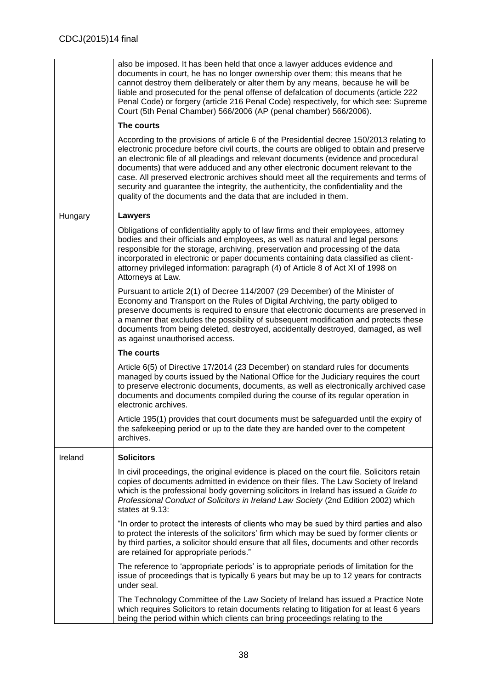|         | also be imposed. It has been held that once a lawyer adduces evidence and<br>documents in court, he has no longer ownership over them; this means that he<br>cannot destroy them deliberately or alter them by any means, because he will be<br>liable and prosecuted for the penal offense of defalcation of documents (article 222<br>Penal Code) or forgery (article 216 Penal Code) respectively, for which see: Supreme<br>Court (5th Penal Chamber) 566/2006 (AP (penal chamber) 566/2006).                                                                                                                |
|---------|------------------------------------------------------------------------------------------------------------------------------------------------------------------------------------------------------------------------------------------------------------------------------------------------------------------------------------------------------------------------------------------------------------------------------------------------------------------------------------------------------------------------------------------------------------------------------------------------------------------|
|         | The courts                                                                                                                                                                                                                                                                                                                                                                                                                                                                                                                                                                                                       |
|         | According to the provisions of article 6 of the Presidential decree 150/2013 relating to<br>electronic procedure before civil courts, the courts are obliged to obtain and preserve<br>an electronic file of all pleadings and relevant documents (evidence and procedural<br>documents) that were adduced and any other electronic document relevant to the<br>case. All preserved electronic archives should meet all the requirements and terms of<br>security and guarantee the integrity, the authenticity, the confidentiality and the<br>quality of the documents and the data that are included in them. |
| Hungary | Lawyers                                                                                                                                                                                                                                                                                                                                                                                                                                                                                                                                                                                                          |
|         | Obligations of confidentiality apply to of law firms and their employees, attorney<br>bodies and their officials and employees, as well as natural and legal persons<br>responsible for the storage, archiving, preservation and processing of the data<br>incorporated in electronic or paper documents containing data classified as client-<br>attorney privileged information: paragraph (4) of Article 8 of Act XI of 1998 on<br>Attorneys at Law.                                                                                                                                                          |
|         | Pursuant to article 2(1) of Decree 114/2007 (29 December) of the Minister of<br>Economy and Transport on the Rules of Digital Archiving, the party obliged to<br>preserve documents is required to ensure that electronic documents are preserved in<br>a manner that excludes the possibility of subsequent modification and protects these<br>documents from being deleted, destroyed, accidentally destroyed, damaged, as well<br>as against unauthorised access.                                                                                                                                             |
|         | The courts                                                                                                                                                                                                                                                                                                                                                                                                                                                                                                                                                                                                       |
|         | Article 6(5) of Directive 17/2014 (23 December) on standard rules for documents<br>managed by courts issued by the National Office for the Judiciary requires the court<br>to preserve electronic documents, documents, as well as electronically archived case<br>documents and documents compiled during the course of its regular operation in<br>electronic archives.                                                                                                                                                                                                                                        |
|         | Article 195(1) provides that court documents must be safeguarded until the expiry of<br>the safekeeping period or up to the date they are handed over to the competent<br>archives.                                                                                                                                                                                                                                                                                                                                                                                                                              |
| Ireland | <b>Solicitors</b>                                                                                                                                                                                                                                                                                                                                                                                                                                                                                                                                                                                                |
|         | In civil proceedings, the original evidence is placed on the court file. Solicitors retain<br>copies of documents admitted in evidence on their files. The Law Society of Ireland<br>which is the professional body governing solicitors in Ireland has issued a Guide to<br>Professional Conduct of Solicitors in Ireland Law Society (2nd Edition 2002) which<br>states at 9.13:                                                                                                                                                                                                                               |
|         | "In order to protect the interests of clients who may be sued by third parties and also<br>to protect the interests of the solicitors' firm which may be sued by former clients or<br>by third parties, a solicitor should ensure that all files, documents and other records<br>are retained for appropriate periods."                                                                                                                                                                                                                                                                                          |
|         | The reference to 'appropriate periods' is to appropriate periods of limitation for the<br>issue of proceedings that is typically 6 years but may be up to 12 years for contracts<br>under seal.                                                                                                                                                                                                                                                                                                                                                                                                                  |
|         | The Technology Committee of the Law Society of Ireland has issued a Practice Note<br>which requires Solicitors to retain documents relating to litigation for at least 6 years<br>being the period within which clients can bring proceedings relating to the                                                                                                                                                                                                                                                                                                                                                    |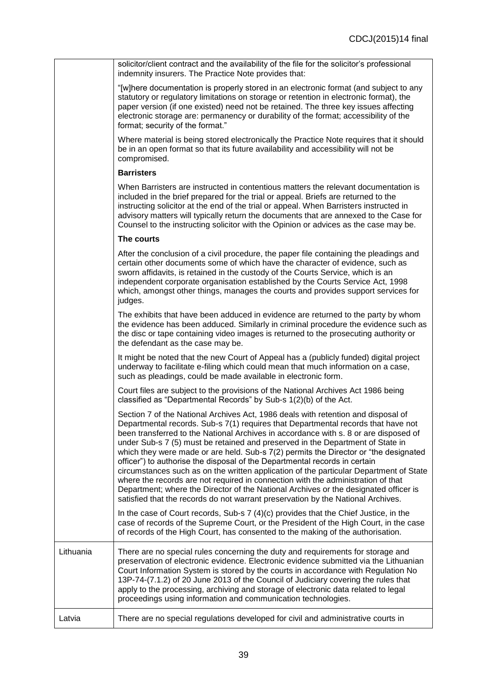|           | solicitor/client contract and the availability of the file for the solicitor's professional<br>indemnity insurers. The Practice Note provides that:                                                                                                                                                                                                                                                                                                                                                                                                                                                                                                                                                                                                                                                                                                                              |
|-----------|----------------------------------------------------------------------------------------------------------------------------------------------------------------------------------------------------------------------------------------------------------------------------------------------------------------------------------------------------------------------------------------------------------------------------------------------------------------------------------------------------------------------------------------------------------------------------------------------------------------------------------------------------------------------------------------------------------------------------------------------------------------------------------------------------------------------------------------------------------------------------------|
|           | "[w]here documentation is properly stored in an electronic format (and subject to any<br>statutory or regulatory limitations on storage or retention in electronic format), the<br>paper version (if one existed) need not be retained. The three key issues affecting<br>electronic storage are: permanency or durability of the format; accessibility of the<br>format; security of the format."                                                                                                                                                                                                                                                                                                                                                                                                                                                                               |
|           | Where material is being stored electronically the Practice Note requires that it should<br>be in an open format so that its future availability and accessibility will not be<br>compromised.                                                                                                                                                                                                                                                                                                                                                                                                                                                                                                                                                                                                                                                                                    |
|           | <b>Barristers</b>                                                                                                                                                                                                                                                                                                                                                                                                                                                                                                                                                                                                                                                                                                                                                                                                                                                                |
|           | When Barristers are instructed in contentious matters the relevant documentation is<br>included in the brief prepared for the trial or appeal. Briefs are returned to the<br>instructing solicitor at the end of the trial or appeal. When Barristers instructed in<br>advisory matters will typically return the documents that are annexed to the Case for<br>Counsel to the instructing solicitor with the Opinion or advices as the case may be.                                                                                                                                                                                                                                                                                                                                                                                                                             |
|           | The courts                                                                                                                                                                                                                                                                                                                                                                                                                                                                                                                                                                                                                                                                                                                                                                                                                                                                       |
|           | After the conclusion of a civil procedure, the paper file containing the pleadings and<br>certain other documents some of which have the character of evidence, such as<br>sworn affidavits, is retained in the custody of the Courts Service, which is an<br>independent corporate organisation established by the Courts Service Act, 1998<br>which, amongst other things, manages the courts and provides support services for<br>judges.                                                                                                                                                                                                                                                                                                                                                                                                                                     |
|           | The exhibits that have been adduced in evidence are returned to the party by whom<br>the evidence has been adduced. Similarly in criminal procedure the evidence such as<br>the disc or tape containing video images is returned to the prosecuting authority or<br>the defendant as the case may be.                                                                                                                                                                                                                                                                                                                                                                                                                                                                                                                                                                            |
|           | It might be noted that the new Court of Appeal has a (publicly funded) digital project<br>underway to facilitate e-filing which could mean that much information on a case,<br>such as pleadings, could be made available in electronic form.                                                                                                                                                                                                                                                                                                                                                                                                                                                                                                                                                                                                                                    |
|           | Court files are subject to the provisions of the National Archives Act 1986 being<br>classified as "Departmental Records" by Sub-s 1(2)(b) of the Act.                                                                                                                                                                                                                                                                                                                                                                                                                                                                                                                                                                                                                                                                                                                           |
|           | Section 7 of the National Archives Act, 1986 deals with retention and disposal of<br>Departmental records. Sub-s 7(1) requires that Departmental records that have not<br>been transferred to the National Archives in accordance with s. 8 or are disposed of<br>under Sub-s 7 (5) must be retained and preserved in the Department of State in<br>which they were made or are held. Sub-s 7(2) permits the Director or "the designated<br>officer") to authorise the disposal of the Departmental records in certain<br>circumstances such as on the written application of the particular Department of State<br>where the records are not required in connection with the administration of that<br>Department; where the Director of the National Archives or the designated officer is<br>satisfied that the records do not warrant preservation by the National Archives. |
|           | In the case of Court records, Sub-s $7(4)(c)$ provides that the Chief Justice, in the<br>case of records of the Supreme Court, or the President of the High Court, in the case<br>of records of the High Court, has consented to the making of the authorisation.                                                                                                                                                                                                                                                                                                                                                                                                                                                                                                                                                                                                                |
| Lithuania | There are no special rules concerning the duty and requirements for storage and<br>preservation of electronic evidence. Electronic evidence submitted via the Lithuanian<br>Court Information System is stored by the courts in accordance with Regulation No<br>13P-74-(7.1.2) of 20 June 2013 of the Council of Judiciary covering the rules that<br>apply to the processing, archiving and storage of electronic data related to legal<br>proceedings using information and communication technologies.                                                                                                                                                                                                                                                                                                                                                                       |
| Latvia    | There are no special regulations developed for civil and administrative courts in                                                                                                                                                                                                                                                                                                                                                                                                                                                                                                                                                                                                                                                                                                                                                                                                |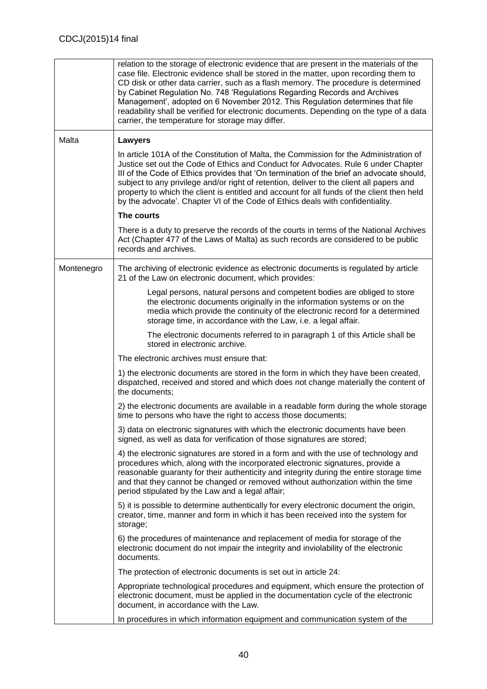|            | relation to the storage of electronic evidence that are present in the materials of the<br>case file. Electronic evidence shall be stored in the matter, upon recording them to<br>CD disk or other data carrier, such as a flash memory. The procedure is determined<br>by Cabinet Regulation No. 748 'Regulations Regarding Records and Archives<br>Management', adopted on 6 November 2012. This Regulation determines that file<br>readability shall be verified for electronic documents. Depending on the type of a data<br>carrier, the temperature for storage may differ. |
|------------|------------------------------------------------------------------------------------------------------------------------------------------------------------------------------------------------------------------------------------------------------------------------------------------------------------------------------------------------------------------------------------------------------------------------------------------------------------------------------------------------------------------------------------------------------------------------------------|
| Malta      | <b>Lawyers</b>                                                                                                                                                                                                                                                                                                                                                                                                                                                                                                                                                                     |
|            | In article 101A of the Constitution of Malta, the Commission for the Administration of<br>Justice set out the Code of Ethics and Conduct for Advocates. Rule 6 under Chapter<br>III of the Code of Ethics provides that 'On termination of the brief an advocate should,<br>subject to any privilege and/or right of retention, deliver to the client all papers and<br>property to which the client is entitled and account for all funds of the client then held<br>by the advocate'. Chapter VI of the Code of Ethics deals with confidentiality.                               |
|            | The courts                                                                                                                                                                                                                                                                                                                                                                                                                                                                                                                                                                         |
|            | There is a duty to preserve the records of the courts in terms of the National Archives<br>Act (Chapter 477 of the Laws of Malta) as such records are considered to be public<br>records and archives.                                                                                                                                                                                                                                                                                                                                                                             |
| Montenegro | The archiving of electronic evidence as electronic documents is regulated by article<br>21 of the Law on electronic document, which provides:                                                                                                                                                                                                                                                                                                                                                                                                                                      |
|            | Legal persons, natural persons and competent bodies are obliged to store<br>the electronic documents originally in the information systems or on the<br>media which provide the continuity of the electronic record for a determined<br>storage time, in accordance with the Law, i.e. a legal affair.                                                                                                                                                                                                                                                                             |
|            | The electronic documents referred to in paragraph 1 of this Article shall be<br>stored in electronic archive.                                                                                                                                                                                                                                                                                                                                                                                                                                                                      |
|            | The electronic archives must ensure that:                                                                                                                                                                                                                                                                                                                                                                                                                                                                                                                                          |
|            | 1) the electronic documents are stored in the form in which they have been created,<br>dispatched, received and stored and which does not change materially the content of<br>the documents;                                                                                                                                                                                                                                                                                                                                                                                       |
|            | 2) the electronic documents are available in a readable form during the whole storage<br>time to persons who have the right to access those documents;                                                                                                                                                                                                                                                                                                                                                                                                                             |
|            | 3) data on electronic signatures with which the electronic documents have been<br>signed, as well as data for verification of those signatures are stored;                                                                                                                                                                                                                                                                                                                                                                                                                         |
|            | 4) the electronic signatures are stored in a form and with the use of technology and<br>procedures which, along with the incorporated electronic signatures, provide a<br>reasonable guaranty for their authenticity and integrity during the entire storage time<br>and that they cannot be changed or removed without authorization within the time<br>period stipulated by the Law and a legal affair;                                                                                                                                                                          |
|            | 5) it is possible to determine authentically for every electronic document the origin,<br>creator, time, manner and form in which it has been received into the system for<br>storage;                                                                                                                                                                                                                                                                                                                                                                                             |
|            | 6) the procedures of maintenance and replacement of media for storage of the<br>electronic document do not impair the integrity and inviolability of the electronic<br>documents.                                                                                                                                                                                                                                                                                                                                                                                                  |
|            | The protection of electronic documents is set out in article 24:                                                                                                                                                                                                                                                                                                                                                                                                                                                                                                                   |
|            | Appropriate technological procedures and equipment, which ensure the protection of<br>electronic document, must be applied in the documentation cycle of the electronic<br>document, in accordance with the Law.                                                                                                                                                                                                                                                                                                                                                                   |
|            | In procedures in which information equipment and communication system of the                                                                                                                                                                                                                                                                                                                                                                                                                                                                                                       |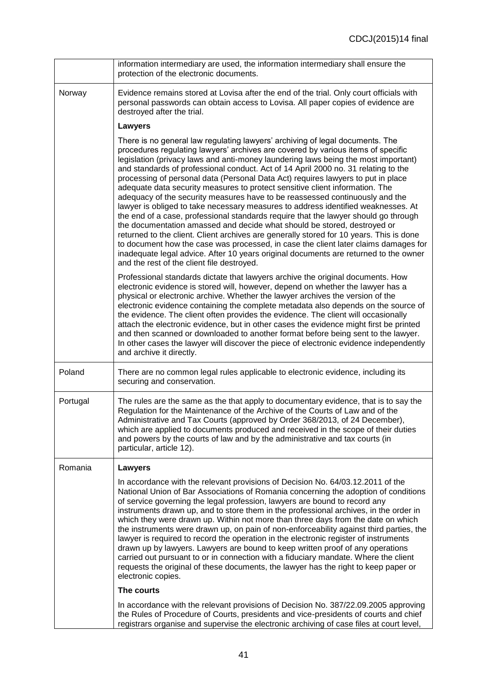|          | information intermediary are used, the information intermediary shall ensure the<br>protection of the electronic documents.                                                                                                                                                                                                                                                                                                                                                                                                                                                                                                                                                                                                                                                                                                                                                                                                                                                                                                                                                                                                                                                       |
|----------|-----------------------------------------------------------------------------------------------------------------------------------------------------------------------------------------------------------------------------------------------------------------------------------------------------------------------------------------------------------------------------------------------------------------------------------------------------------------------------------------------------------------------------------------------------------------------------------------------------------------------------------------------------------------------------------------------------------------------------------------------------------------------------------------------------------------------------------------------------------------------------------------------------------------------------------------------------------------------------------------------------------------------------------------------------------------------------------------------------------------------------------------------------------------------------------|
| Norway   | Evidence remains stored at Lovisa after the end of the trial. Only court officials with<br>personal passwords can obtain access to Lovisa. All paper copies of evidence are<br>destroyed after the trial.                                                                                                                                                                                                                                                                                                                                                                                                                                                                                                                                                                                                                                                                                                                                                                                                                                                                                                                                                                         |
|          | <b>Lawyers</b>                                                                                                                                                                                                                                                                                                                                                                                                                                                                                                                                                                                                                                                                                                                                                                                                                                                                                                                                                                                                                                                                                                                                                                    |
|          | There is no general law regulating lawyers' archiving of legal documents. The<br>procedures regulating lawyers' archives are covered by various items of specific<br>legislation (privacy laws and anti-money laundering laws being the most important)<br>and standards of professional conduct. Act of 14 April 2000 no. 31 relating to the<br>processing of personal data (Personal Data Act) requires lawyers to put in place<br>adequate data security measures to protect sensitive client information. The<br>adequacy of the security measures have to be reassessed continuously and the<br>lawyer is obliged to take necessary measures to address identified weaknesses. At<br>the end of a case, professional standards require that the lawyer should go through<br>the documentation amassed and decide what should be stored, destroyed or<br>returned to the client. Client archives are generally stored for 10 years. This is done<br>to document how the case was processed, in case the client later claims damages for<br>inadequate legal advice. After 10 years original documents are returned to the owner<br>and the rest of the client file destroyed. |
|          | Professional standards dictate that lawyers archive the original documents. How<br>electronic evidence is stored will, however, depend on whether the lawyer has a<br>physical or electronic archive. Whether the lawyer archives the version of the<br>electronic evidence containing the complete metadata also depends on the source of<br>the evidence. The client often provides the evidence. The client will occasionally<br>attach the electronic evidence, but in other cases the evidence might first be printed<br>and then scanned or downloaded to another format before being sent to the lawyer.<br>In other cases the lawyer will discover the piece of electronic evidence independently<br>and archive it directly.                                                                                                                                                                                                                                                                                                                                                                                                                                             |
| Poland   | There are no common legal rules applicable to electronic evidence, including its<br>securing and conservation.                                                                                                                                                                                                                                                                                                                                                                                                                                                                                                                                                                                                                                                                                                                                                                                                                                                                                                                                                                                                                                                                    |
| Portugal | The rules are the same as the that apply to documentary evidence, that is to say the<br>Regulation for the Maintenance of the Archive of the Courts of Law and of the<br>Administrative and Tax Courts (approved by Order 368/2013, of 24 December),<br>which are applied to documents produced and received in the scope of their duties<br>and powers by the courts of law and by the administrative and tax courts (in<br>particular, article 12).                                                                                                                                                                                                                                                                                                                                                                                                                                                                                                                                                                                                                                                                                                                             |
| Romania  | Lawyers                                                                                                                                                                                                                                                                                                                                                                                                                                                                                                                                                                                                                                                                                                                                                                                                                                                                                                                                                                                                                                                                                                                                                                           |
|          | In accordance with the relevant provisions of Decision No. 64/03.12.2011 of the<br>National Union of Bar Associations of Romania concerning the adoption of conditions<br>of service governing the legal profession, lawyers are bound to record any<br>instruments drawn up, and to store them in the professional archives, in the order in<br>which they were drawn up. Within not more than three days from the date on which<br>the instruments were drawn up, on pain of non-enforceability against third parties, the<br>lawyer is required to record the operation in the electronic register of instruments<br>drawn up by lawyers. Lawyers are bound to keep written proof of any operations<br>carried out pursuant to or in connection with a fiduciary mandate. Where the client<br>requests the original of these documents, the lawyer has the right to keep paper or<br>electronic copies.                                                                                                                                                                                                                                                                        |
|          | The courts                                                                                                                                                                                                                                                                                                                                                                                                                                                                                                                                                                                                                                                                                                                                                                                                                                                                                                                                                                                                                                                                                                                                                                        |
|          | In accordance with the relevant provisions of Decision No. 387/22.09.2005 approving<br>the Rules of Procedure of Courts, presidents and vice-presidents of courts and chief<br>registrars organise and supervise the electronic archiving of case files at court level,                                                                                                                                                                                                                                                                                                                                                                                                                                                                                                                                                                                                                                                                                                                                                                                                                                                                                                           |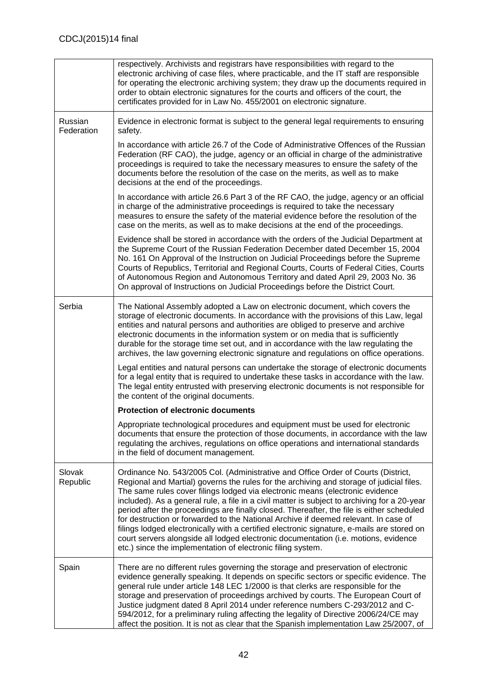|                       | respectively. Archivists and registrars have responsibilities with regard to the<br>electronic archiving of case files, where practicable, and the IT staff are responsible<br>for operating the electronic archiving system; they draw up the documents required in<br>order to obtain electronic signatures for the courts and officers of the court, the<br>certificates provided for in Law No. 455/2001 on electronic signature.                                                                                                                                                                                                                                                                                                                                                                  |
|-----------------------|--------------------------------------------------------------------------------------------------------------------------------------------------------------------------------------------------------------------------------------------------------------------------------------------------------------------------------------------------------------------------------------------------------------------------------------------------------------------------------------------------------------------------------------------------------------------------------------------------------------------------------------------------------------------------------------------------------------------------------------------------------------------------------------------------------|
| Russian<br>Federation | Evidence in electronic format is subject to the general legal requirements to ensuring<br>safety.                                                                                                                                                                                                                                                                                                                                                                                                                                                                                                                                                                                                                                                                                                      |
|                       | In accordance with article 26.7 of the Code of Administrative Offences of the Russian<br>Federation (RF CAO), the judge, agency or an official in charge of the administrative<br>proceedings is required to take the necessary measures to ensure the safety of the<br>documents before the resolution of the case on the merits, as well as to make<br>decisions at the end of the proceedings.                                                                                                                                                                                                                                                                                                                                                                                                      |
|                       | In accordance with article 26.6 Part 3 of the RF CAO, the judge, agency or an official<br>in charge of the administrative proceedings is required to take the necessary<br>measures to ensure the safety of the material evidence before the resolution of the<br>case on the merits, as well as to make decisions at the end of the proceedings.                                                                                                                                                                                                                                                                                                                                                                                                                                                      |
|                       | Evidence shall be stored in accordance with the orders of the Judicial Department at<br>the Supreme Court of the Russian Federation December dated December 15, 2004<br>No. 161 On Approval of the Instruction on Judicial Proceedings before the Supreme<br>Courts of Republics, Territorial and Regional Courts, Courts of Federal Cities, Courts<br>of Autonomous Region and Autonomous Territory and dated April 29, 2003 No. 36<br>On approval of Instructions on Judicial Proceedings before the District Court.                                                                                                                                                                                                                                                                                 |
| Serbia                | The National Assembly adopted a Law on electronic document, which covers the<br>storage of electronic documents. In accordance with the provisions of this Law, legal<br>entities and natural persons and authorities are obliged to preserve and archive<br>electronic documents in the information system or on media that is sufficiently<br>durable for the storage time set out, and in accordance with the law regulating the<br>archives, the law governing electronic signature and regulations on office operations.                                                                                                                                                                                                                                                                          |
|                       | Legal entities and natural persons can undertake the storage of electronic documents<br>for a legal entity that is required to undertake these tasks in accordance with the law.<br>The legal entity entrusted with preserving electronic documents is not responsible for<br>the content of the original documents.                                                                                                                                                                                                                                                                                                                                                                                                                                                                                   |
|                       | <b>Protection of electronic documents</b>                                                                                                                                                                                                                                                                                                                                                                                                                                                                                                                                                                                                                                                                                                                                                              |
|                       | Appropriate technological procedures and equipment must be used for electronic<br>documents that ensure the protection of those documents, in accordance with the law<br>regulating the archives, regulations on office operations and international standards<br>in the field of document management.                                                                                                                                                                                                                                                                                                                                                                                                                                                                                                 |
| Slovak<br>Republic    | Ordinance No. 543/2005 Col. (Administrative and Office Order of Courts (District,<br>Regional and Martial) governs the rules for the archiving and storage of judicial files.<br>The same rules cover filings lodged via electronic means (electronic evidence<br>included). As a general rule, a file in a civil matter is subject to archiving for a 20-year<br>period after the proceedings are finally closed. Thereafter, the file is either scheduled<br>for destruction or forwarded to the National Archive if deemed relevant. In case of<br>filings lodged electronically with a certified electronic signature, e-mails are stored on<br>court servers alongside all lodged electronic documentation (i.e. motions, evidence<br>etc.) since the implementation of electronic filing system. |
| Spain                 | There are no different rules governing the storage and preservation of electronic<br>evidence generally speaking. It depends on specific sectors or specific evidence. The<br>general rule under article 148 LEC 1/2000 is that clerks are responsible for the<br>storage and preservation of proceedings archived by courts. The European Court of<br>Justice judgment dated 8 April 2014 under reference numbers C-293/2012 and C-<br>594/2012, for a preliminary ruling affecting the legality of Directive 2006/24/CE may<br>affect the position. It is not as clear that the Spanish implementation Law 25/2007, of                                                                                                                                                                               |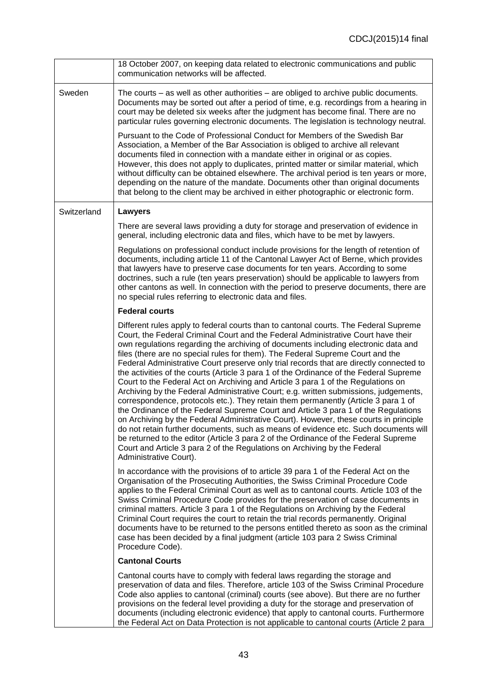|             | 18 October 2007, on keeping data related to electronic communications and public<br>communication networks will be affected.                                                                                                                                                                                                                                                                                                                                                                                                                                                                                                                                                                                                                                                                                                                                                                                                                                                                                                                                                                                                                                                                                                                                                 |
|-------------|------------------------------------------------------------------------------------------------------------------------------------------------------------------------------------------------------------------------------------------------------------------------------------------------------------------------------------------------------------------------------------------------------------------------------------------------------------------------------------------------------------------------------------------------------------------------------------------------------------------------------------------------------------------------------------------------------------------------------------------------------------------------------------------------------------------------------------------------------------------------------------------------------------------------------------------------------------------------------------------------------------------------------------------------------------------------------------------------------------------------------------------------------------------------------------------------------------------------------------------------------------------------------|
| Sweden      | The courts $-$ as well as other authorities $-$ are obliged to archive public documents.<br>Documents may be sorted out after a period of time, e.g. recordings from a hearing in<br>court may be deleted six weeks after the judgment has become final. There are no<br>particular rules governing electronic documents. The legislation is technology neutral.                                                                                                                                                                                                                                                                                                                                                                                                                                                                                                                                                                                                                                                                                                                                                                                                                                                                                                             |
|             | Pursuant to the Code of Professional Conduct for Members of the Swedish Bar<br>Association, a Member of the Bar Association is obliged to archive all relevant<br>documents filed in connection with a mandate either in original or as copies.<br>However, this does not apply to duplicates, printed matter or similar material, which<br>without difficulty can be obtained elsewhere. The archival period is ten years or more,<br>depending on the nature of the mandate. Documents other than original documents<br>that belong to the client may be archived in either photographic or electronic form.                                                                                                                                                                                                                                                                                                                                                                                                                                                                                                                                                                                                                                                               |
| Switzerland | <b>Lawyers</b>                                                                                                                                                                                                                                                                                                                                                                                                                                                                                                                                                                                                                                                                                                                                                                                                                                                                                                                                                                                                                                                                                                                                                                                                                                                               |
|             | There are several laws providing a duty for storage and preservation of evidence in<br>general, including electronic data and files, which have to be met by lawyers.                                                                                                                                                                                                                                                                                                                                                                                                                                                                                                                                                                                                                                                                                                                                                                                                                                                                                                                                                                                                                                                                                                        |
|             | Regulations on professional conduct include provisions for the length of retention of<br>documents, including article 11 of the Cantonal Lawyer Act of Berne, which provides<br>that lawyers have to preserve case documents for ten years. According to some<br>doctrines, such a rule (ten years preservation) should be applicable to lawyers from<br>other cantons as well. In connection with the period to preserve documents, there are<br>no special rules referring to electronic data and files.                                                                                                                                                                                                                                                                                                                                                                                                                                                                                                                                                                                                                                                                                                                                                                   |
|             | <b>Federal courts</b>                                                                                                                                                                                                                                                                                                                                                                                                                                                                                                                                                                                                                                                                                                                                                                                                                                                                                                                                                                                                                                                                                                                                                                                                                                                        |
|             | Different rules apply to federal courts than to cantonal courts. The Federal Supreme<br>Court, the Federal Criminal Court and the Federal Administrative Court have their<br>own regulations regarding the archiving of documents including electronic data and<br>files (there are no special rules for them). The Federal Supreme Court and the<br>Federal Administrative Court preserve only trial records that are directly connected to<br>the activities of the courts (Article 3 para 1 of the Ordinance of the Federal Supreme<br>Court to the Federal Act on Archiving and Article 3 para 1 of the Regulations on<br>Archiving by the Federal Administrative Court; e.g. written submissions, judgements,<br>correspondence, protocols etc.). They retain them permanently (Article 3 para 1 of<br>the Ordinance of the Federal Supreme Court and Article 3 para 1 of the Regulations<br>on Archiving by the Federal Administrative Court). However, these courts in principle<br>do not retain further documents, such as means of evidence etc. Such documents will<br>be returned to the editor (Article 3 para 2 of the Ordinance of the Federal Supreme<br>Court and Article 3 para 2 of the Regulations on Archiving by the Federal<br>Administrative Court). |
|             | In accordance with the provisions of to article 39 para 1 of the Federal Act on the<br>Organisation of the Prosecuting Authorities, the Swiss Criminal Procedure Code<br>applies to the Federal Criminal Court as well as to cantonal courts. Article 103 of the<br>Swiss Criminal Procedure Code provides for the preservation of case documents in<br>criminal matters. Article 3 para 1 of the Regulations on Archiving by the Federal<br>Criminal Court requires the court to retain the trial records permanently. Original<br>documents have to be returned to the persons entitled thereto as soon as the criminal<br>case has been decided by a final judgment (article 103 para 2 Swiss Criminal<br>Procedure Code).                                                                                                                                                                                                                                                                                                                                                                                                                                                                                                                                                |
|             | <b>Cantonal Courts</b>                                                                                                                                                                                                                                                                                                                                                                                                                                                                                                                                                                                                                                                                                                                                                                                                                                                                                                                                                                                                                                                                                                                                                                                                                                                       |
|             | Cantonal courts have to comply with federal laws regarding the storage and<br>preservation of data and files. Therefore, article 103 of the Swiss Criminal Procedure<br>Code also applies to cantonal (criminal) courts (see above). But there are no further<br>provisions on the federal level providing a duty for the storage and preservation of<br>documents (including electronic evidence) that apply to cantonal courts. Furthermore                                                                                                                                                                                                                                                                                                                                                                                                                                                                                                                                                                                                                                                                                                                                                                                                                                |

the Federal Act on Data Protection is not applicable to cantonal courts (Article 2 para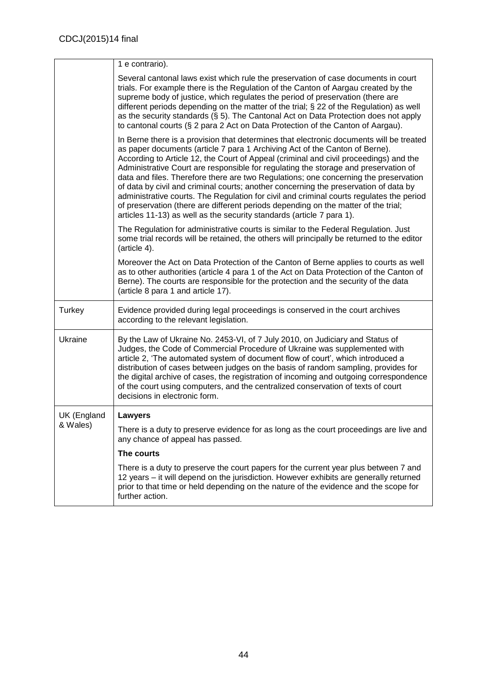|             | 1 e contrario).                                                                                                                                                                                                                                                                                                                                                                                                                                                                                                                                                                                                                                                                                                                                                                                   |
|-------------|---------------------------------------------------------------------------------------------------------------------------------------------------------------------------------------------------------------------------------------------------------------------------------------------------------------------------------------------------------------------------------------------------------------------------------------------------------------------------------------------------------------------------------------------------------------------------------------------------------------------------------------------------------------------------------------------------------------------------------------------------------------------------------------------------|
|             | Several cantonal laws exist which rule the preservation of case documents in court<br>trials. For example there is the Regulation of the Canton of Aargau created by the<br>supreme body of justice, which regulates the period of preservation (there are<br>different periods depending on the matter of the trial; § 22 of the Regulation) as well<br>as the security standards $(\S 5)$ . The Cantonal Act on Data Protection does not apply<br>to cantonal courts (§ 2 para 2 Act on Data Protection of the Canton of Aargau).                                                                                                                                                                                                                                                               |
|             | In Berne there is a provision that determines that electronic documents will be treated<br>as paper documents (article 7 para 1 Archiving Act of the Canton of Berne).<br>According to Article 12, the Court of Appeal (criminal and civil proceedings) and the<br>Administrative Court are responsible for regulating the storage and preservation of<br>data and files. Therefore there are two Regulations; one concerning the preservation<br>of data by civil and criminal courts; another concerning the preservation of data by<br>administrative courts. The Regulation for civil and criminal courts regulates the period<br>of preservation (there are different periods depending on the matter of the trial;<br>articles 11-13) as well as the security standards (article 7 para 1). |
|             | The Regulation for administrative courts is similar to the Federal Regulation. Just<br>some trial records will be retained, the others will principally be returned to the editor<br>(article 4).                                                                                                                                                                                                                                                                                                                                                                                                                                                                                                                                                                                                 |
|             | Moreover the Act on Data Protection of the Canton of Berne applies to courts as well<br>as to other authorities (article 4 para 1 of the Act on Data Protection of the Canton of<br>Berne). The courts are responsible for the protection and the security of the data<br>(article 8 para 1 and article 17).                                                                                                                                                                                                                                                                                                                                                                                                                                                                                      |
| Turkey      | Evidence provided during legal proceedings is conserved in the court archives<br>according to the relevant legislation.                                                                                                                                                                                                                                                                                                                                                                                                                                                                                                                                                                                                                                                                           |
| Ukraine     | By the Law of Ukraine No. 2453-VI, of 7 July 2010, on Judiciary and Status of<br>Judges, the Code of Commercial Procedure of Ukraine was supplemented with<br>article 2, 'The automated system of document flow of court', which introduced a<br>distribution of cases between judges on the basis of random sampling, provides for<br>the digital archive of cases, the registration of incoming and outgoing correspondence<br>of the court using computers, and the centralized conservation of texts of court<br>decisions in electronic form.                                                                                                                                                                                                                                                |
| UK (England | Lawyers                                                                                                                                                                                                                                                                                                                                                                                                                                                                                                                                                                                                                                                                                                                                                                                           |
| & Wales)    | There is a duty to preserve evidence for as long as the court proceedings are live and<br>any chance of appeal has passed.                                                                                                                                                                                                                                                                                                                                                                                                                                                                                                                                                                                                                                                                        |
|             | The courts                                                                                                                                                                                                                                                                                                                                                                                                                                                                                                                                                                                                                                                                                                                                                                                        |
|             | There is a duty to preserve the court papers for the current year plus between 7 and<br>12 years – it will depend on the jurisdiction. However exhibits are generally returned<br>prior to that time or held depending on the nature of the evidence and the scope for<br>further action.                                                                                                                                                                                                                                                                                                                                                                                                                                                                                                         |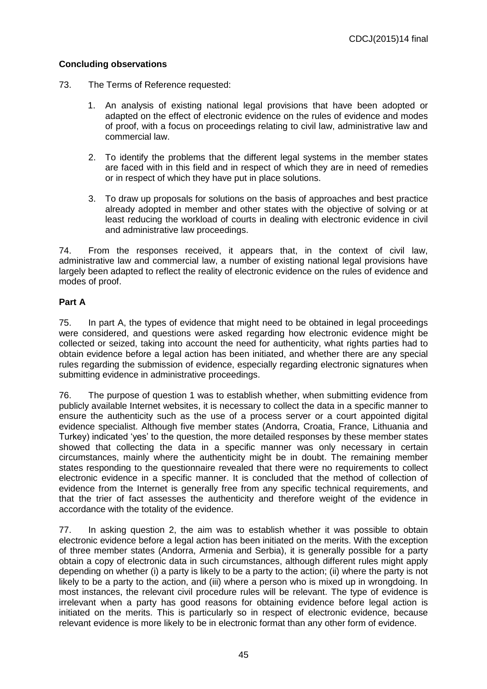## **Concluding observations**

- 73. The Terms of Reference requested:
	- 1. An analysis of existing national legal provisions that have been adopted or adapted on the effect of electronic evidence on the rules of evidence and modes of proof, with a focus on proceedings relating to civil law, administrative law and commercial law.
	- 2. To identify the problems that the different legal systems in the member states are faced with in this field and in respect of which they are in need of remedies or in respect of which they have put in place solutions.
	- 3. To draw up proposals for solutions on the basis of approaches and best practice already adopted in member and other states with the objective of solving or at least reducing the workload of courts in dealing with electronic evidence in civil and administrative law proceedings.

74. From the responses received, it appears that, in the context of civil law, administrative law and commercial law, a number of existing national legal provisions have largely been adapted to reflect the reality of electronic evidence on the rules of evidence and modes of proof.

## **Part A**

75. In part A, the types of evidence that might need to be obtained in legal proceedings were considered, and questions were asked regarding how electronic evidence might be collected or seized, taking into account the need for authenticity, what rights parties had to obtain evidence before a legal action has been initiated, and whether there are any special rules regarding the submission of evidence, especially regarding electronic signatures when submitting evidence in administrative proceedings.

76. The purpose of question 1 was to establish whether, when submitting evidence from publicly available Internet websites, it is necessary to collect the data in a specific manner to ensure the authenticity such as the use of a process server or a court appointed digital evidence specialist. Although five member states (Andorra, Croatia, France, Lithuania and Turkey) indicated 'yes' to the question, the more detailed responses by these member states showed that collecting the data in a specific manner was only necessary in certain circumstances, mainly where the authenticity might be in doubt. The remaining member states responding to the questionnaire revealed that there were no requirements to collect electronic evidence in a specific manner. It is concluded that the method of collection of evidence from the Internet is generally free from any specific technical requirements, and that the trier of fact assesses the authenticity and therefore weight of the evidence in accordance with the totality of the evidence.

77. In asking question 2, the aim was to establish whether it was possible to obtain electronic evidence before a legal action has been initiated on the merits. With the exception of three member states (Andorra, Armenia and Serbia), it is generally possible for a party obtain a copy of electronic data in such circumstances, although different rules might apply depending on whether (i) a party is likely to be a party to the action; (ii) where the party is not likely to be a party to the action, and (iii) where a person who is mixed up in wrongdoing. In most instances, the relevant civil procedure rules will be relevant. The type of evidence is irrelevant when a party has good reasons for obtaining evidence before legal action is initiated on the merits. This is particularly so in respect of electronic evidence, because relevant evidence is more likely to be in electronic format than any other form of evidence.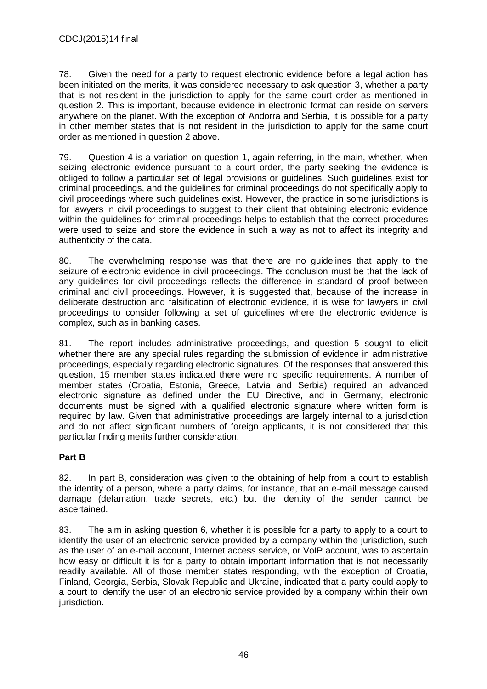78. Given the need for a party to request electronic evidence before a legal action has been initiated on the merits, it was considered necessary to ask question 3, whether a party that is not resident in the jurisdiction to apply for the same court order as mentioned in question 2. This is important, because evidence in electronic format can reside on servers anywhere on the planet. With the exception of Andorra and Serbia, it is possible for a party in other member states that is not resident in the jurisdiction to apply for the same court order as mentioned in question 2 above.

79. Question 4 is a variation on question 1, again referring, in the main, whether, when seizing electronic evidence pursuant to a court order, the party seeking the evidence is obliged to follow a particular set of legal provisions or guidelines. Such guidelines exist for criminal proceedings, and the guidelines for criminal proceedings do not specifically apply to civil proceedings where such guidelines exist. However, the practice in some jurisdictions is for lawyers in civil proceedings to suggest to their client that obtaining electronic evidence within the guidelines for criminal proceedings helps to establish that the correct procedures were used to seize and store the evidence in such a way as not to affect its integrity and authenticity of the data.

80. The overwhelming response was that there are no guidelines that apply to the seizure of electronic evidence in civil proceedings. The conclusion must be that the lack of any guidelines for civil proceedings reflects the difference in standard of proof between criminal and civil proceedings. However, it is suggested that, because of the increase in deliberate destruction and falsification of electronic evidence, it is wise for lawyers in civil proceedings to consider following a set of guidelines where the electronic evidence is complex, such as in banking cases.

81. The report includes administrative proceedings, and question 5 sought to elicit whether there are any special rules regarding the submission of evidence in administrative proceedings, especially regarding electronic signatures. Of the responses that answered this question, 15 member states indicated there were no specific requirements. A number of member states (Croatia, Estonia, Greece, Latvia and Serbia) required an advanced electronic signature as defined under the EU Directive, and in Germany, electronic documents must be signed with a qualified electronic signature where written form is required by law. Given that administrative proceedings are largely internal to a jurisdiction and do not affect significant numbers of foreign applicants, it is not considered that this particular finding merits further consideration.

## **Part B**

82. In part B, consideration was given to the obtaining of help from a court to establish the identity of a person, where a party claims, for instance, that an e-mail message caused damage (defamation, trade secrets, etc.) but the identity of the sender cannot be ascertained.

83. The aim in asking question 6, whether it is possible for a party to apply to a court to identify the user of an electronic service provided by a company within the jurisdiction, such as the user of an e-mail account, Internet access service, or VoIP account, was to ascertain how easy or difficult it is for a party to obtain important information that is not necessarily readily available. All of those member states responding, with the exception of Croatia, Finland, Georgia, Serbia, Slovak Republic and Ukraine, indicated that a party could apply to a court to identify the user of an electronic service provided by a company within their own jurisdiction.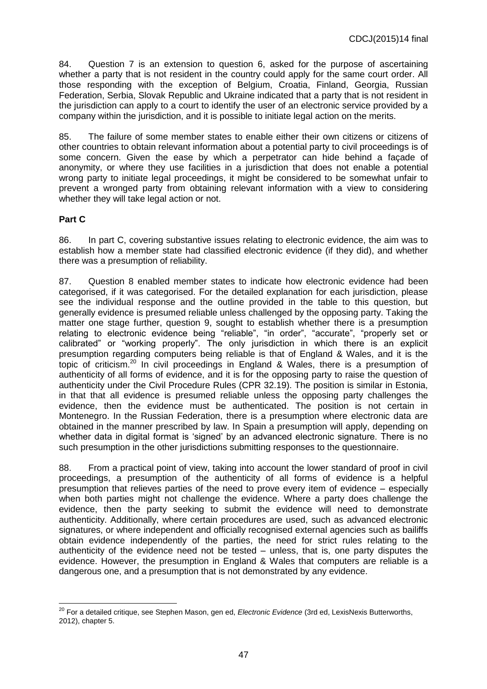84. Question 7 is an extension to question 6, asked for the purpose of ascertaining whether a party that is not resident in the country could apply for the same court order. All those responding with the exception of Belgium, Croatia, Finland, Georgia, Russian Federation, Serbia, Slovak Republic and Ukraine indicated that a party that is not resident in the jurisdiction can apply to a court to identify the user of an electronic service provided by a company within the jurisdiction, and it is possible to initiate legal action on the merits.

85. The failure of some member states to enable either their own citizens or citizens of other countries to obtain relevant information about a potential party to civil proceedings is of some concern. Given the ease by which a perpetrator can hide behind a façade of anonymity, or where they use facilities in a jurisdiction that does not enable a potential wrong party to initiate legal proceedings, it might be considered to be somewhat unfair to prevent a wronged party from obtaining relevant information with a view to considering whether they will take legal action or not.

## **Part C**

86. In part C, covering substantive issues relating to electronic evidence, the aim was to establish how a member state had classified electronic evidence (if they did), and whether there was a presumption of reliability.

87. Question 8 enabled member states to indicate how electronic evidence had been categorised, if it was categorised. For the detailed explanation for each jurisdiction, please see the individual response and the outline provided in the table to this question, but generally evidence is presumed reliable unless challenged by the opposing party. Taking the matter one stage further, question 9, sought to establish whether there is a presumption relating to electronic evidence being "reliable", "in order", "accurate", "properly set or calibrated" or "working properly". The only jurisdiction in which there is an explicit presumption regarding computers being reliable is that of England & Wales, and it is the topic of criticism.<sup>20</sup> In civil proceedings in England & Wales, there is a presumption of authenticity of all forms of evidence, and it is for the opposing party to raise the question of authenticity under the Civil Procedure Rules (CPR 32.19). The position is similar in Estonia, in that that all evidence is presumed reliable unless the opposing party challenges the evidence, then the evidence must be authenticated. The position is not certain in Montenegro. In the Russian Federation, there is a presumption where electronic data are obtained in the manner prescribed by law. In Spain a presumption will apply, depending on whether data in digital format is 'signed' by an advanced electronic signature. There is no such presumption in the other jurisdictions submitting responses to the questionnaire.

88. From a practical point of view, taking into account the lower standard of proof in civil proceedings, a presumption of the authenticity of all forms of evidence is a helpful presumption that relieves parties of the need to prove every item of evidence – especially when both parties might not challenge the evidence. Where a party does challenge the evidence, then the party seeking to submit the evidence will need to demonstrate authenticity. Additionally, where certain procedures are used, such as advanced electronic signatures, or where independent and officially recognised external agencies such as bailiffs obtain evidence independently of the parties, the need for strict rules relating to the authenticity of the evidence need not be tested – unless, that is, one party disputes the evidence. However, the presumption in England & Wales that computers are reliable is a dangerous one, and a presumption that is not demonstrated by any evidence.

 $\overline{a}$ <sup>20</sup> For a detailed critique, see Stephen Mason, gen ed, *Electronic Evidence* (3rd ed, LexisNexis Butterworths, 2012), chapter 5.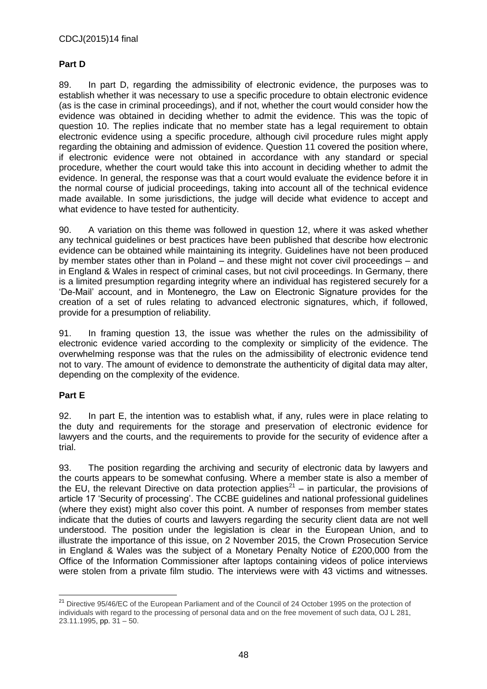## **Part D**

89. In part D, regarding the admissibility of electronic evidence, the purposes was to establish whether it was necessary to use a specific procedure to obtain electronic evidence (as is the case in criminal proceedings), and if not, whether the court would consider how the evidence was obtained in deciding whether to admit the evidence. This was the topic of question 10. The replies indicate that no member state has a legal requirement to obtain electronic evidence using a specific procedure, although civil procedure rules might apply regarding the obtaining and admission of evidence. Question 11 covered the position where, if electronic evidence were not obtained in accordance with any standard or special procedure, whether the court would take this into account in deciding whether to admit the evidence. In general, the response was that a court would evaluate the evidence before it in the normal course of judicial proceedings, taking into account all of the technical evidence made available. In some jurisdictions, the judge will decide what evidence to accept and what evidence to have tested for authenticity.

90. A variation on this theme was followed in question 12, where it was asked whether any technical guidelines or best practices have been published that describe how electronic evidence can be obtained while maintaining its integrity. Guidelines have not been produced by member states other than in Poland – and these might not cover civil proceedings – and in England & Wales in respect of criminal cases, but not civil proceedings. In Germany, there is a limited presumption regarding integrity where an individual has registered securely for a 'De-Mail' account, and in Montenegro, the Law on Electronic Signature provides for the creation of a set of rules relating to advanced electronic signatures, which, if followed, provide for a presumption of reliability.

91. In framing question 13, the issue was whether the rules on the admissibility of electronic evidence varied according to the complexity or simplicity of the evidence. The overwhelming response was that the rules on the admissibility of electronic evidence tend not to vary. The amount of evidence to demonstrate the authenticity of digital data may alter, depending on the complexity of the evidence.

### **Part E**

92. In part E, the intention was to establish what, if any, rules were in place relating to the duty and requirements for the storage and preservation of electronic evidence for lawyers and the courts, and the requirements to provide for the security of evidence after a trial.

93. The position regarding the archiving and security of electronic data by lawyers and the courts appears to be somewhat confusing. Where a member state is also a member of the EU, the relevant Directive on data protection applies<sup>21</sup> – in particular, the provisions of article 17 'Security of processing'. The CCBE guidelines and national professional guidelines (where they exist) might also cover this point. A number of responses from member states indicate that the duties of courts and lawyers regarding the security client data are not well understood. The position under the legislation is clear in the European Union, and to illustrate the importance of this issue, on 2 November 2015, the Crown Prosecution Service in England & Wales was the subject of a Monetary Penalty Notice of £200,000 from the Office of the Information Commissioner after laptops containing videos of police interviews were stolen from a private film studio. The interviews were with 43 victims and witnesses.

 $\overline{a}$ <sup>21</sup> Directive 95/46/EC of the European Parliament and of the Council of 24 October 1995 on the protection of individuals with regard to the processing of personal data and on the free movement of such data, OJ L 281, 23.11.1995, pp. 31 – 50.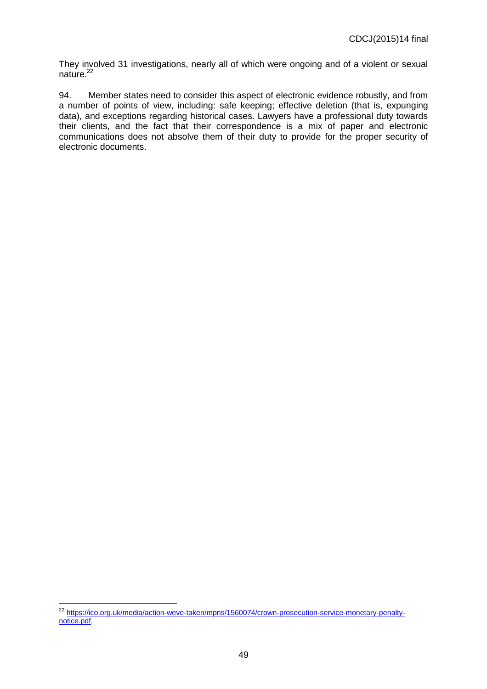They involved 31 investigations, nearly all of which were ongoing and of a violent or sexual nature.<sup>22</sup>

94. Member states need to consider this aspect of electronic evidence robustly, and from a number of points of view, including: safe keeping; effective deletion (that is, expunging data), and exceptions regarding historical cases. Lawyers have a professional duty towards their clients, and the fact that their correspondence is a mix of paper and electronic communications does not absolve them of their duty to provide for the proper security of electronic documents.

 $\overline{a}$ 

<sup>&</sup>lt;sup>22</sup> [https://ico.org.uk/media/action-weve-taken/mpns/1560074/crown-prosecution-service-monetary-penalty](https://ico.org.uk/media/action-weve-taken/mpns/1560074/crown-prosecution-service-monetary-penalty-notice.pdf)[notice.pdf.](https://ico.org.uk/media/action-weve-taken/mpns/1560074/crown-prosecution-service-monetary-penalty-notice.pdf)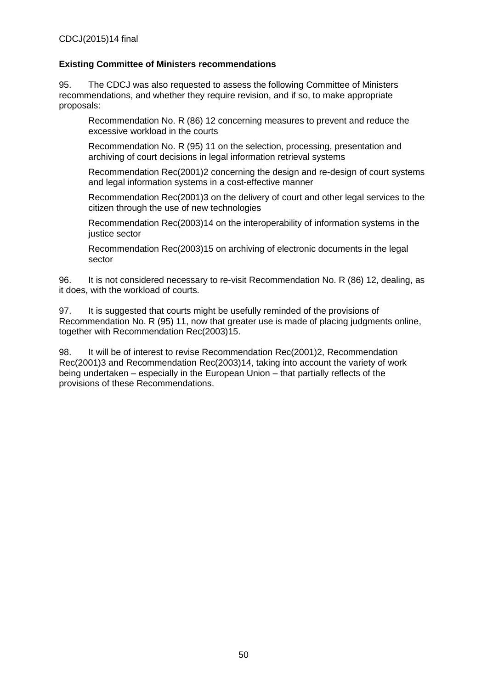### **Existing Committee of Ministers recommendations**

95. The CDCJ was also requested to assess the following Committee of Ministers recommendations, and whether they require revision, and if so, to make appropriate proposals:

Recommendation No. R (86) 12 concerning measures to prevent and reduce the excessive workload in the courts

Recommendation No. R (95) 11 on the selection, processing, presentation and archiving of court decisions in legal information retrieval systems

Recommendation Rec(2001)2 concerning the design and re-design of court systems and legal information systems in a cost-effective manner

Recommendation Rec(2001)3 on the delivery of court and other legal services to the citizen through the use of new technologies

Recommendation Rec(2003)14 on the interoperability of information systems in the justice sector

Recommendation Rec(2003)15 on archiving of electronic documents in the legal sector

96. It is not considered necessary to re-visit Recommendation No. R (86) 12, dealing, as it does, with the workload of courts.

97. It is suggested that courts might be usefully reminded of the provisions of Recommendation No. R (95) 11, now that greater use is made of placing judgments online, together with Recommendation Rec(2003)15.

98. It will be of interest to revise Recommendation Rec(2001)2, Recommendation Rec(2001)3 and Recommendation Rec(2003)14, taking into account the variety of work being undertaken – especially in the European Union – that partially reflects of the provisions of these Recommendations.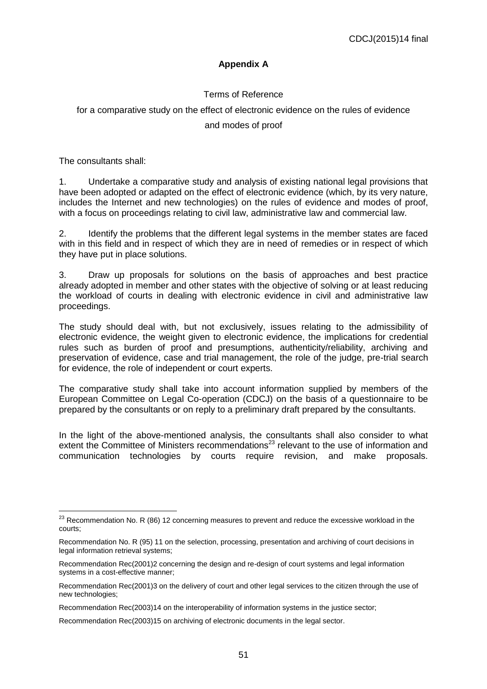## **Appendix A**

## Terms of Reference

# for a comparative study on the effect of electronic evidence on the rules of evidence

### and modes of proof

The consultants shall:

1. Undertake a comparative study and analysis of existing national legal provisions that have been adopted or adapted on the effect of electronic evidence (which, by its very nature, includes the Internet and new technologies) on the rules of evidence and modes of proof, with a focus on proceedings relating to civil law, administrative law and commercial law.

2. Identify the problems that the different legal systems in the member states are faced with in this field and in respect of which they are in need of remedies or in respect of which they have put in place solutions.

3. Draw up proposals for solutions on the basis of approaches and best practice already adopted in member and other states with the objective of solving or at least reducing the workload of courts in dealing with electronic evidence in civil and administrative law proceedings.

The study should deal with, but not exclusively, issues relating to the admissibility of electronic evidence, the weight given to electronic evidence, the implications for credential rules such as burden of proof and presumptions, authenticity/reliability, archiving and preservation of evidence, case and trial management, the role of the judge, pre-trial search for evidence, the role of independent or court experts.

The comparative study shall take into account information supplied by members of the European Committee on Legal Co-operation (CDCJ) on the basis of a questionnaire to be prepared by the consultants or on reply to a preliminary draft prepared by the consultants.

In the light of the above-mentioned analysis, the consultants shall also consider to what extent the Committee of Ministers recommendations<sup>23</sup> relevant to the use of information and communication technologies by courts require revision, and make proposals.

 $\overline{a}$  $^{23}$  Recommendation No. R (86) 12 concerning measures to prevent and reduce the excessive workload in the courts;

Recommendation No. R (95) 11 on the selection, processing, presentation and archiving of court decisions in legal information retrieval systems;

Recommendation Rec(2001)2 concerning the design and re-design of court systems and legal information systems in a cost-effective manner;

Recommendation Rec(2001)3 on the delivery of court and other legal services to the citizen through the use of new technologies;

Recommendation Rec(2003)14 on the interoperability of information systems in the justice sector;

Recommendation Rec(2003)15 on archiving of electronic documents in the legal sector.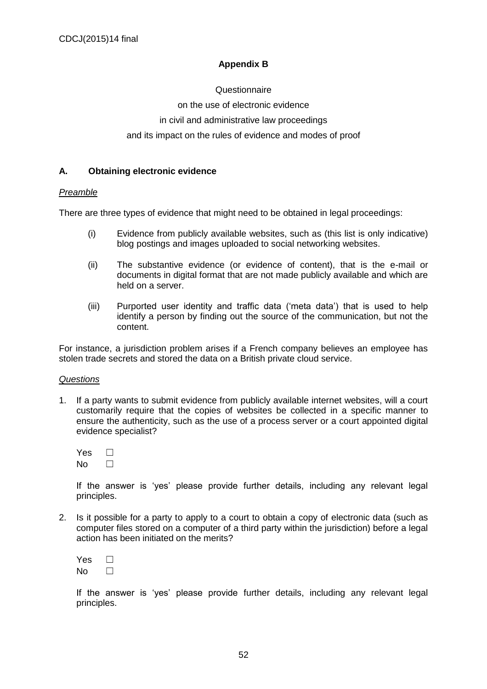## **Appendix B**

**Questionnaire** on the use of electronic evidence in civil and administrative law proceedings and its impact on the rules of evidence and modes of proof

#### **A. Obtaining electronic evidence**

#### *Preamble*

There are three types of evidence that might need to be obtained in legal proceedings:

- (i) Evidence from publicly available websites, such as (this list is only indicative) blog postings and images uploaded to social networking websites.
- (ii) The substantive evidence (or evidence of content), that is the e-mail or documents in digital format that are not made publicly available and which are held on a server.
- (iii) Purported user identity and traffic data ('meta data') that is used to help identify a person by finding out the source of the communication, but not the content.

For instance, a jurisdiction problem arises if a French company believes an employee has stolen trade secrets and stored the data on a British private cloud service.

#### *Questions*

1. If a party wants to submit evidence from publicly available internet websites, will a court customarily require that the copies of websites be collected in a specific manner to ensure the authenticity, such as the use of a process server or a court appointed digital evidence specialist?

| Yes |  |
|-----|--|
| Nο  |  |

If the answer is 'yes' please provide further details, including any relevant legal principles.

2. Is it possible for a party to apply to a court to obtain a copy of electronic data (such as computer files stored on a computer of a third party within the jurisdiction) before a legal action has been initiated on the merits?

| Yes |  |
|-----|--|
| Nο  |  |

If the answer is 'yes' please provide further details, including any relevant legal principles.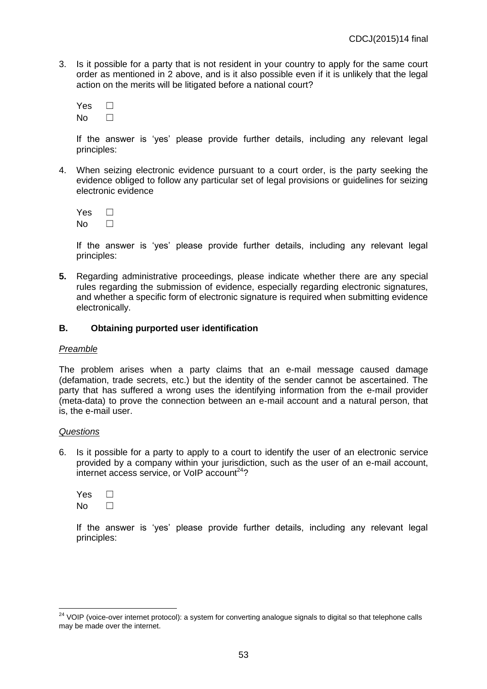3. Is it possible for a party that is not resident in your country to apply for the same court order as mentioned in 2 above, and is it also possible even if it is unlikely that the legal action on the merits will be litigated before a national court?

| Yes |  |
|-----|--|
| Nο  |  |

If the answer is 'yes' please provide further details, including any relevant legal principles:

4. When seizing electronic evidence pursuant to a court order, is the party seeking the evidence obliged to follow any particular set of legal provisions or guidelines for seizing electronic evidence

| Yes |  |
|-----|--|
| N٥  |  |

If the answer is 'yes' please provide further details, including any relevant legal principles:

**5.** Regarding administrative proceedings, please indicate whether there are any special rules regarding the submission of evidence, especially regarding electronic signatures, and whether a specific form of electronic signature is required when submitting evidence electronically.

#### **B. Obtaining purported user identification**

#### *Preamble*

The problem arises when a party claims that an e-mail message caused damage (defamation, trade secrets, etc.) but the identity of the sender cannot be ascertained. The party that has suffered a wrong uses the identifying information from the e-mail provider (meta-data) to prove the connection between an e-mail account and a natural person, that is, the e-mail user.

#### *Questions*

 $\overline{a}$ 

6. Is it possible for a party to apply to a court to identify the user of an electronic service provided by a company within your jurisdiction, such as the user of an e-mail account,  $\frac{1}{2}$  internet access service, or VoIP account<sup>24</sup>?

 $Yes \Box$  $No \qquad \Box$ 

If the answer is 'yes' please provide further details, including any relevant legal principles:

<sup>&</sup>lt;sup>24</sup> VOIP (voice-over internet protocol): a system for converting analogue signals to digital so that telephone calls may be made over the internet.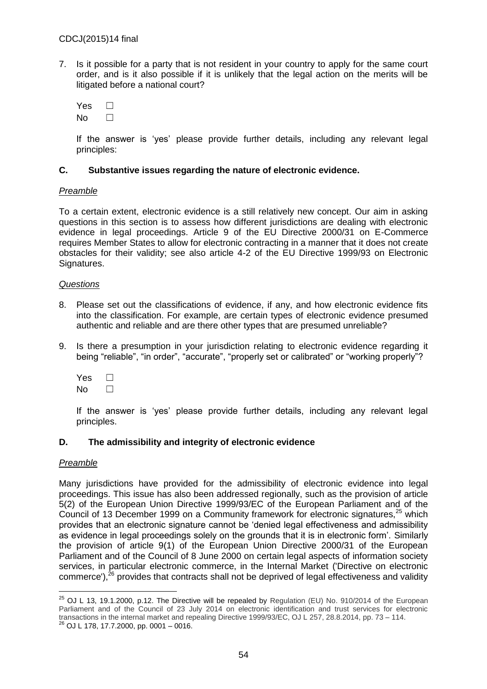7. Is it possible for a party that is not resident in your country to apply for the same court order, and is it also possible if it is unlikely that the legal action on the merits will be litigated before a national court?

| Yes |  |
|-----|--|
| N٥  |  |

If the answer is 'yes' please provide further details, including any relevant legal principles:

#### **C. Substantive issues regarding the nature of electronic evidence.**

#### *Preamble*

To a certain extent, electronic evidence is a still relatively new concept. Our aim in asking questions in this section is to assess how different jurisdictions are dealing with electronic evidence in legal proceedings. Article 9 of the EU Directive 2000/31 on E-Commerce requires Member States to allow for electronic contracting in a manner that it does not create obstacles for their validity; see also article 4-2 of the EU Directive 1999/93 on Electronic Signatures.

#### *Questions*

- 8. Please set out the classifications of evidence, if any, and how electronic evidence fits into the classification. For example, are certain types of electronic evidence presumed authentic and reliable and are there other types that are presumed unreliable?
- 9. Is there a presumption in your jurisdiction relating to electronic evidence regarding it being "reliable", "in order", "accurate", "properly set or calibrated" or "working properly"?

Yes □  $No$   $\Box$ 

If the answer is 'yes' please provide further details, including any relevant legal principles.

### **D. The admissibility and integrity of electronic evidence**

#### *Preamble*

Many jurisdictions have provided for the admissibility of electronic evidence into legal proceedings. This issue has also been addressed regionally, such as the provision of article 5(2) of the European Union Directive 1999/93/EC of the European Parliament and of the Council of 13 December 1999 on a Community framework for electronic signatures,<sup>25</sup> which provides that an electronic signature cannot be 'denied legal effectiveness and admissibility as evidence in legal proceedings solely on the grounds that it is in electronic form'. Similarly the provision of article 9(1) of the European Union Directive 2000/31 of the European Parliament and of the Council of 8 June 2000 on certain legal aspects of information society services, in particular electronic commerce, in the Internal Market ('Directive on electronic commerce'), $^{26}$  provides that contracts shall not be deprived of legal effectiveness and validity

 $\overline{a}$  $^{25}$  OJ L 13, 19.1.2000, p.12. The Directive will be repealed by Regulation (EU) No. 910/2014 of the European Parliament and of the Council of 23 July 2014 on electronic identification and trust services for electronic transactions in the internal market and repealing Directive 1999/93/EC, OJ L 257, 28.8.2014, pp. 73 – 114.

 $^{26}$  OJ L 178, 17.7.2000, pp. 0001 – 0016.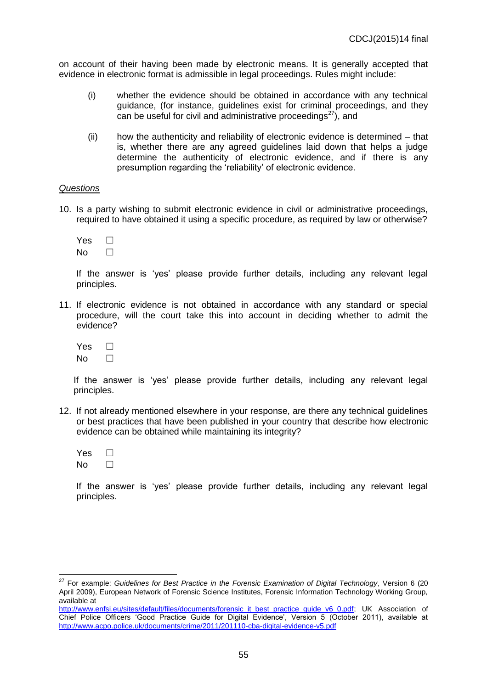on account of their having been made by electronic means. It is generally accepted that evidence in electronic format is admissible in legal proceedings. Rules might include:

- (i) whether the evidence should be obtained in accordance with any technical guidance, (for instance, guidelines exist for criminal proceedings, and they can be useful for civil and administrative proceedings $27$ ), and
- (ii) how the authenticity and reliability of electronic evidence is determined that is, whether there are any agreed guidelines laid down that helps a judge determine the authenticity of electronic evidence, and if there is any presumption regarding the 'reliability' of electronic evidence.

#### *Questions*

10. Is a party wishing to submit electronic evidence in civil or administrative proceedings, required to have obtained it using a specific procedure, as required by law or otherwise?

| Yes |  |
|-----|--|
| N٥  |  |

If the answer is 'yes' please provide further details, including any relevant legal principles.

11. If electronic evidence is not obtained in accordance with any standard or special procedure, will the court take this into account in deciding whether to admit the evidence?

| Yes |  |
|-----|--|
| N٥  |  |

If the answer is 'yes' please provide further details, including any relevant legal principles.

12. If not already mentioned elsewhere in your response, are there any technical guidelines or best practices that have been published in your country that describe how electronic evidence can be obtained while maintaining its integrity?

| Yes |  |
|-----|--|
| N٥  |  |

 $\overline{\phantom{a}}$ 

If the answer is 'yes' please provide further details, including any relevant legal principles.

<sup>27</sup> For example: *Guidelines for Best Practice in the Forensic Examination of Digital Technology*, Version 6 (20 April 2009), European Network of Forensic Science Institutes, Forensic Information Technology Working Group, available at

[http://www.enfsi.eu/sites/default/files/documents/forensic\\_it\\_best\\_practice\\_guide\\_v6\\_0.pdf;](http://www.enfsi.eu/sites/default/files/documents/forensic_it_best_practice_guide_v6_0.pdf) UK Association of Chief Police Officers 'Good Practice Guide for Digital Evidence', Version 5 (October 2011), available at <http://www.acpo.police.uk/documents/crime/2011/201110-cba-digital-evidence-v5.pdf>